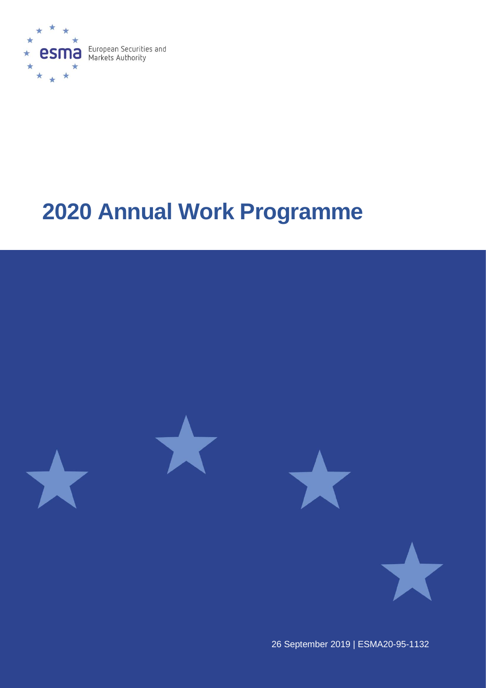

# **Annual Work Programme**



September 2019 | ESMA20-95-1132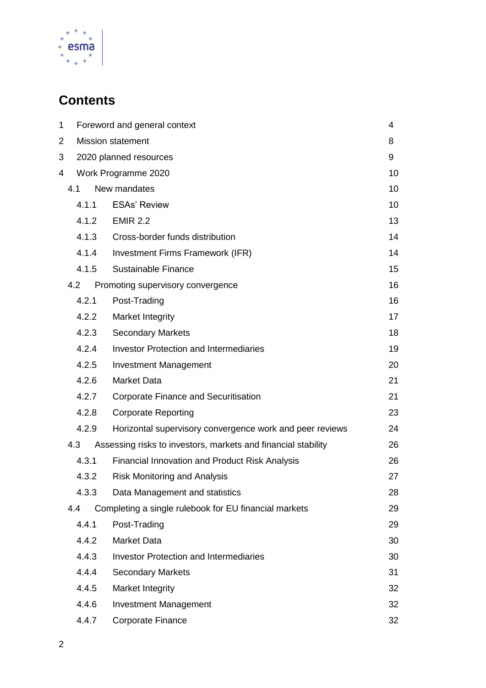

## **Contents**

| 1     | Foreword and general context                                  | 4  |
|-------|---------------------------------------------------------------|----|
| 2     | <b>Mission statement</b>                                      | 8  |
| 3     | 2020 planned resources                                        | 9  |
| 4     | Work Programme 2020                                           | 10 |
| 4.1   | New mandates                                                  | 10 |
| 4.1.1 | <b>ESAs' Review</b>                                           | 10 |
| 4.1.2 | <b>EMIR 2.2</b>                                               | 13 |
| 4.1.3 | Cross-border funds distribution                               | 14 |
| 4.1.4 | Investment Firms Framework (IFR)                              | 14 |
| 4.1.5 | Sustainable Finance                                           | 15 |
| 4.2   | Promoting supervisory convergence                             | 16 |
| 4.2.1 | Post-Trading                                                  | 16 |
| 4.2.2 | Market Integrity                                              | 17 |
| 4.2.3 | <b>Secondary Markets</b>                                      | 18 |
| 4.2.4 | <b>Investor Protection and Intermediaries</b>                 | 19 |
| 4.2.5 | <b>Investment Management</b>                                  | 20 |
| 4.2.6 | <b>Market Data</b>                                            | 21 |
| 4.2.7 | <b>Corporate Finance and Securitisation</b>                   | 21 |
| 4.2.8 | <b>Corporate Reporting</b>                                    | 23 |
| 4.2.9 | Horizontal supervisory convergence work and peer reviews      | 24 |
| 4.3   | Assessing risks to investors, markets and financial stability | 26 |
| 4.3.1 | <b>Financial Innovation and Product Risk Analysis</b>         | 26 |
| 4.3.2 | <b>Risk Monitoring and Analysis</b>                           | 27 |
| 4.3.3 | Data Management and statistics                                | 28 |
| 4.4   | Completing a single rulebook for EU financial markets         | 29 |
| 4.4.1 | Post-Trading                                                  | 29 |
| 4.4.2 | <b>Market Data</b>                                            | 30 |
| 4.4.3 | <b>Investor Protection and Intermediaries</b>                 | 30 |
| 4.4.4 | <b>Secondary Markets</b>                                      | 31 |
| 4.4.5 | Market Integrity                                              | 32 |
| 4.4.6 | <b>Investment Management</b>                                  | 32 |
| 4.4.7 | <b>Corporate Finance</b>                                      | 32 |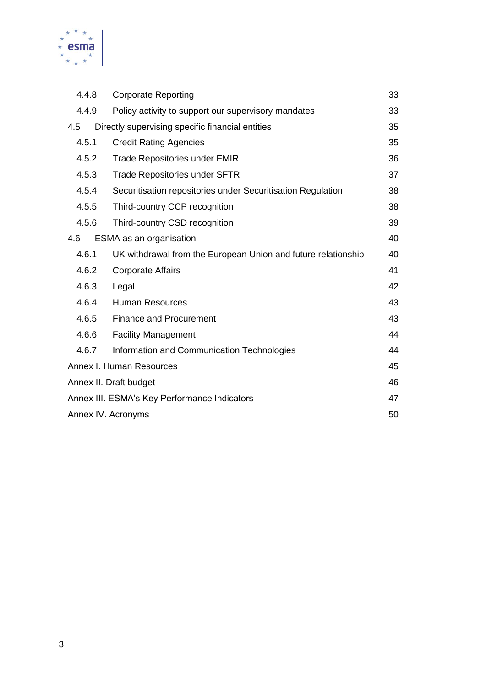

|                                                              | 4.4.8 | <b>Corporate Reporting</b>                                    | 33 |
|--------------------------------------------------------------|-------|---------------------------------------------------------------|----|
| 4.4.9<br>Policy activity to support our supervisory mandates |       |                                                               | 33 |
| 4.5                                                          |       | Directly supervising specific financial entities              | 35 |
|                                                              | 4.5.1 | <b>Credit Rating Agencies</b>                                 | 35 |
|                                                              | 4.5.2 | <b>Trade Repositories under EMIR</b>                          | 36 |
|                                                              | 4.5.3 | <b>Trade Repositories under SFTR</b>                          | 37 |
|                                                              | 4.5.4 | Securitisation repositories under Securitisation Regulation   | 38 |
|                                                              | 4.5.5 | Third-country CCP recognition                                 | 38 |
|                                                              | 4.5.6 | Third-country CSD recognition                                 | 39 |
| 4.6                                                          |       | ESMA as an organisation                                       | 40 |
|                                                              | 4.6.1 | UK withdrawal from the European Union and future relationship | 40 |
|                                                              | 4.6.2 | <b>Corporate Affairs</b>                                      | 41 |
|                                                              | 4.6.3 | Legal                                                         | 42 |
|                                                              | 4.6.4 | <b>Human Resources</b>                                        | 43 |
|                                                              | 4.6.5 | <b>Finance and Procurement</b>                                | 43 |
|                                                              | 4.6.6 | <b>Facility Management</b>                                    | 44 |
|                                                              | 4.6.7 | Information and Communication Technologies                    | 44 |
|                                                              |       | Annex I. Human Resources                                      | 45 |
|                                                              |       | Annex II. Draft budget                                        | 46 |
| Annex III. ESMA's Key Performance Indicators                 |       | 47                                                            |    |
|                                                              |       | Annex IV. Acronyms                                            |    |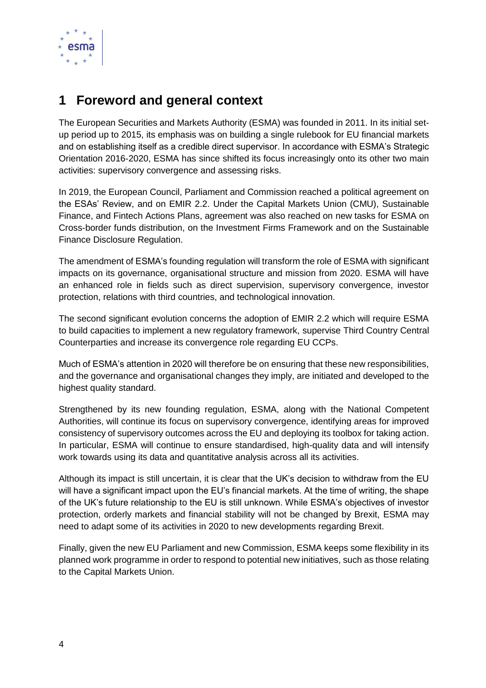

## <span id="page-3-0"></span>**1 Foreword and general context**

The European Securities and Markets Authority (ESMA) was founded in 2011. In its initial setup period up to 2015, its emphasis was on building a single rulebook for EU financial markets and on establishing itself as a credible direct supervisor. In accordance with ESMA's Strategic Orientation 2016-2020, ESMA has since shifted its focus increasingly onto its other two main activities: supervisory convergence and assessing risks.

In 2019, the European Council, Parliament and Commission reached a political agreement on the ESAs' Review, and on EMIR 2.2. Under the Capital Markets Union (CMU), Sustainable Finance, and Fintech Actions Plans, agreement was also reached on new tasks for ESMA on Cross-border funds distribution, on the Investment Firms Framework and on the Sustainable Finance Disclosure Regulation.

The amendment of ESMA's founding regulation will transform the role of ESMA with significant impacts on its governance, organisational structure and mission from 2020. ESMA will have an enhanced role in fields such as direct supervision, supervisory convergence, investor protection, relations with third countries, and technological innovation.

The second significant evolution concerns the adoption of EMIR 2.2 which will require ESMA to build capacities to implement a new regulatory framework, supervise Third Country Central Counterparties and increase its convergence role regarding EU CCPs.

Much of ESMA's attention in 2020 will therefore be on ensuring that these new responsibilities, and the governance and organisational changes they imply, are initiated and developed to the highest quality standard.

Strengthened by its new founding regulation, ESMA, along with the National Competent Authorities, will continue its focus on supervisory convergence, identifying areas for improved consistency of supervisory outcomes across the EU and deploying its toolbox for taking action. In particular, ESMA will continue to ensure standardised, high-quality data and will intensify work towards using its data and quantitative analysis across all its activities.

Although its impact is still uncertain, it is clear that the UK's decision to withdraw from the EU will have a significant impact upon the EU's financial markets. At the time of writing, the shape of the UK's future relationship to the EU is still unknown. While ESMA's objectives of investor protection, orderly markets and financial stability will not be changed by Brexit, ESMA may need to adapt some of its activities in 2020 to new developments regarding Brexit.

Finally, given the new EU Parliament and new Commission, ESMA keeps some flexibility in its planned work programme in order to respond to potential new initiatives, such as those relating to the Capital Markets Union.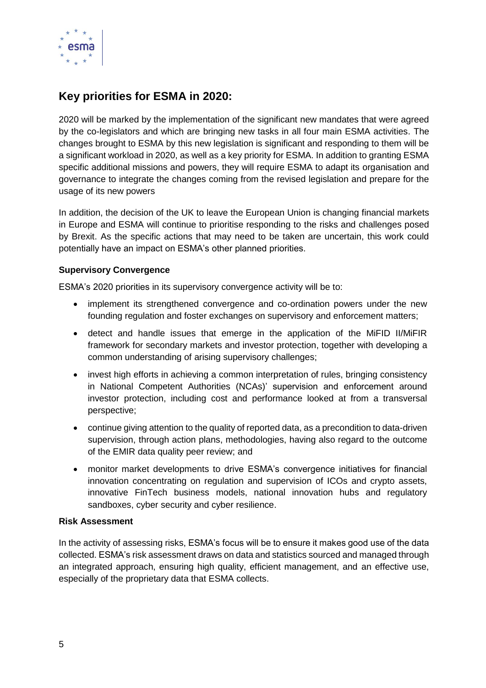

## **Key priorities for ESMA in 2020:**

2020 will be marked by the implementation of the significant new mandates that were agreed by the co-legislators and which are bringing new tasks in all four main ESMA activities. The changes brought to ESMA by this new legislation is significant and responding to them will be a significant workload in 2020, as well as a key priority for ESMA. In addition to granting ESMA specific additional missions and powers, they will require ESMA to adapt its organisation and governance to integrate the changes coming from the revised legislation and prepare for the usage of its new powers

In addition, the decision of the UK to leave the European Union is changing financial markets in Europe and ESMA will continue to prioritise responding to the risks and challenges posed by Brexit. As the specific actions that may need to be taken are uncertain, this work could potentially have an impact on ESMA's other planned priorities.

#### **Supervisory Convergence**

ESMA's 2020 priorities in its supervisory convergence activity will be to:

- implement its strengthened convergence and co-ordination powers under the new founding regulation and foster exchanges on supervisory and enforcement matters;
- detect and handle issues that emerge in the application of the MiFID II/MiFIR framework for secondary markets and investor protection, together with developing a common understanding of arising supervisory challenges;
- invest high efforts in achieving a common interpretation of rules, bringing consistency in National Competent Authorities (NCAs)' supervision and enforcement around investor protection, including cost and performance looked at from a transversal perspective;
- continue giving attention to the quality of reported data, as a precondition to data-driven supervision, through action plans, methodologies, having also regard to the outcome of the EMIR data quality peer review; and
- monitor market developments to drive ESMA's convergence initiatives for financial innovation concentrating on regulation and supervision of ICOs and crypto assets, innovative FinTech business models, national innovation hubs and regulatory sandboxes, cyber security and cyber resilience.

#### **Risk Assessment**

In the activity of assessing risks, ESMA's focus will be to ensure it makes good use of the data collected. ESMA's risk assessment draws on data and statistics sourced and managed through an integrated approach, ensuring high quality, efficient management, and an effective use, especially of the proprietary data that ESMA collects.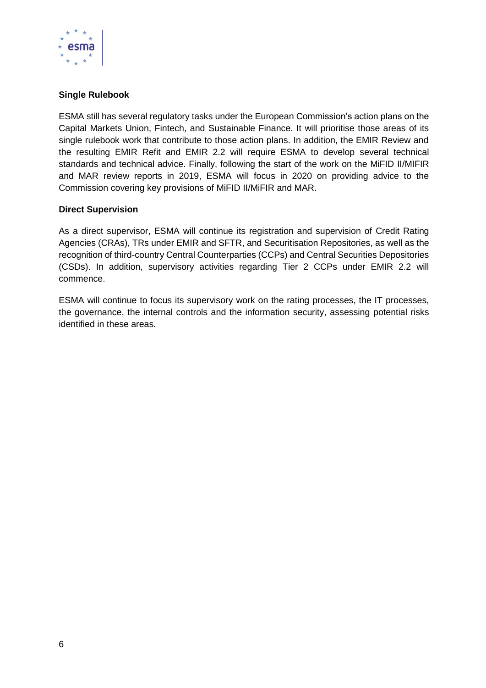

#### **Single Rulebook**

ESMA still has several regulatory tasks under the European Commission's action plans on the Capital Markets Union, Fintech, and Sustainable Finance. It will prioritise those areas of its single rulebook work that contribute to those action plans. In addition, the EMIR Review and the resulting EMIR Refit and EMIR 2.2 will require ESMA to develop several technical standards and technical advice. Finally, following the start of the work on the MiFID II/MIFIR and MAR review reports in 2019, ESMA will focus in 2020 on providing advice to the Commission covering key provisions of MiFID II/MiFIR and MAR.

#### **Direct Supervision**

As a direct supervisor, ESMA will continue its registration and supervision of Credit Rating Agencies (CRAs), TRs under EMIR and SFTR, and Securitisation Repositories, as well as the recognition of third-country Central Counterparties (CCPs) and Central Securities Depositories (CSDs). In addition, supervisory activities regarding Tier 2 CCPs under EMIR 2.2 will commence.

ESMA will continue to focus its supervisory work on the rating processes, the IT processes, the governance, the internal controls and the information security, assessing potential risks identified in these areas.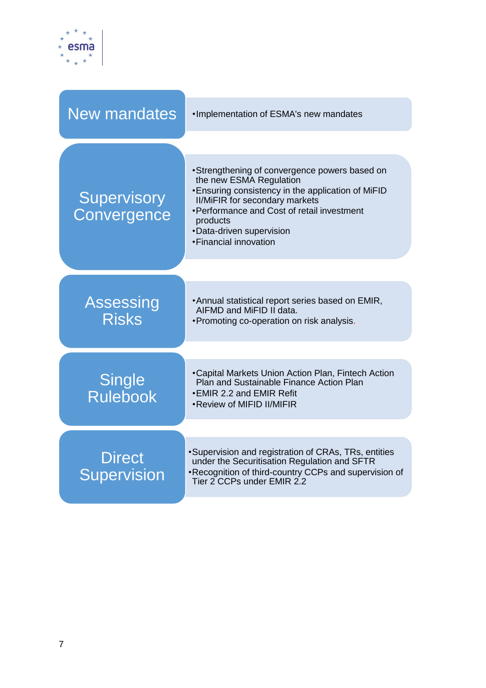

| <b>New mandates</b>                 | . Implementation of ESMA's new mandates                                                                                                                                                                                                                                                  |
|-------------------------------------|------------------------------------------------------------------------------------------------------------------------------------------------------------------------------------------------------------------------------------------------------------------------------------------|
|                                     |                                                                                                                                                                                                                                                                                          |
| <b>Supervisory</b><br>Convergence   | •Strengthening of convergence powers based on<br>the new ESMA Regulation<br>• Ensuring consistency in the application of MiFID<br><b>II/MiFIR for secondary markets</b><br>• Performance and Cost of retail investment<br>products<br>•Data-driven supervision<br>• Financial innovation |
|                                     |                                                                                                                                                                                                                                                                                          |
| Assessing<br><b>Risks</b>           | • Annual statistical report series based on EMIR,<br>AIFMD and MiFID II data.<br>• Promoting co-operation on risk analysis.                                                                                                                                                              |
|                                     |                                                                                                                                                                                                                                                                                          |
| <b>Single</b><br><b>Rulebook</b>    | •Capital Markets Union Action Plan, Fintech Action<br>Plan and Sustainable Finance Action Plan<br>•EMIR 2.2 and EMIR Refit<br>•Review of MIFID II/MIFIR                                                                                                                                  |
|                                     |                                                                                                                                                                                                                                                                                          |
| <b>Direct</b><br><b>Supervision</b> | ·Supervision and registration of CRAs, TRs, entities<br>under the Securitisation Regulation and SFTR<br>•Recognition of third-country CCPs and supervision of<br>Tier 2 CCPs under EMIR 2.2                                                                                              |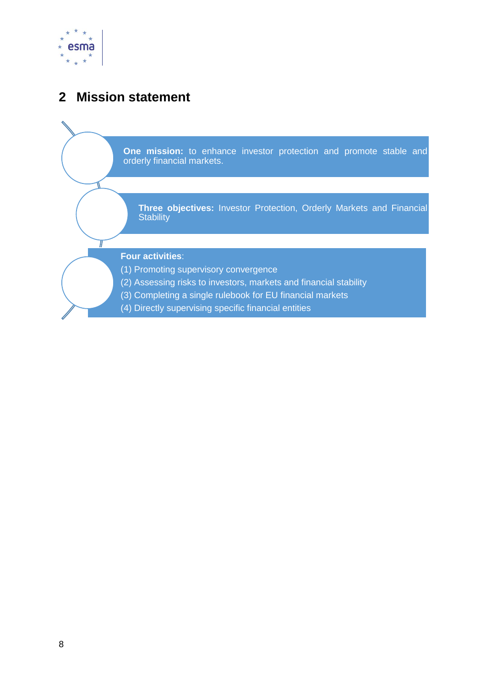

## <span id="page-7-0"></span>**2 Mission statement**

Τ

**One mission:** to enhance investor protection and promote stable and orderly financial markets.

**Three objectives:** Investor Protection, Orderly Markets and Financial **Stability** 

#### **Four activities**:

- (1) Promoting supervisory convergence
- (2) Assessing risks to investors, markets and financial stability
- (3) Completing a single rulebook for EU financial markets
- (4) Directly supervising specific financial entities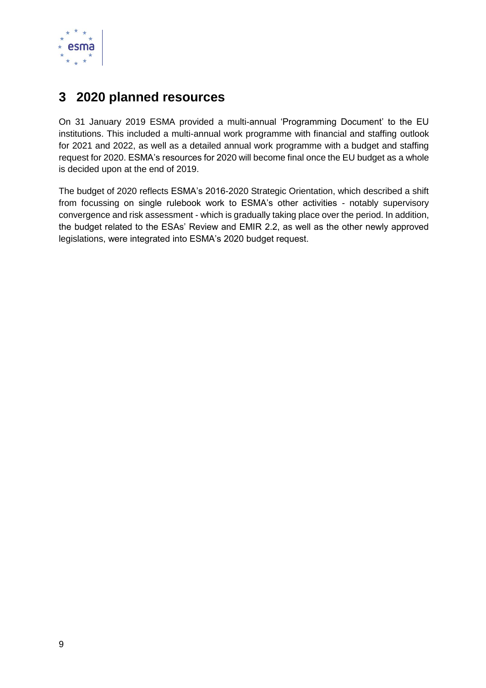

## <span id="page-8-0"></span>**3 2020 planned resources**

On 31 January 2019 ESMA provided a multi-annual 'Programming Document' to the EU institutions. This included a multi-annual work programme with financial and staffing outlook for 2021 and 2022, as well as a detailed annual work programme with a budget and staffing request for 2020. ESMA's resources for 2020 will become final once the EU budget as a whole is decided upon at the end of 2019.

The budget of 2020 reflects ESMA's 2016-2020 Strategic Orientation, which described a shift from focussing on single rulebook work to ESMA's other activities - notably supervisory convergence and risk assessment - which is gradually taking place over the period. In addition, the budget related to the ESAs' Review and EMIR 2.2, as well as the other newly approved legislations, were integrated into ESMA's 2020 budget request.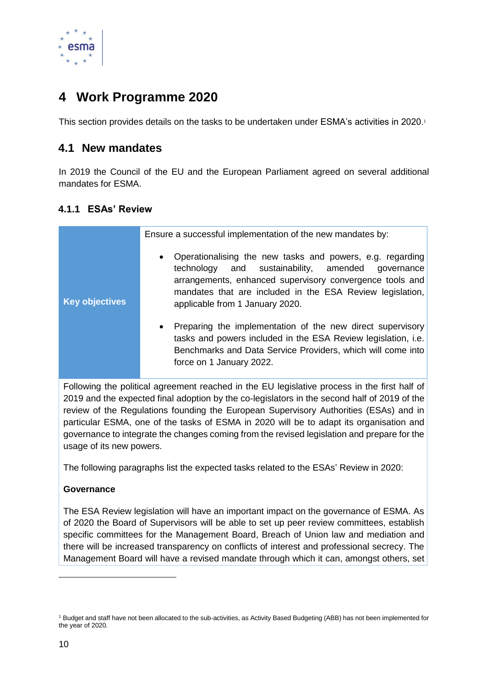

## <span id="page-9-0"></span>**4 Work Programme 2020**

This section provides details on the tasks to be undertaken under ESMA's activities in 2020.<sup>1</sup>

### <span id="page-9-1"></span>**4.1 New mandates**

In 2019 the Council of the EU and the European Parliament agreed on several additional mandates for ESMA.

#### <span id="page-9-2"></span>**4.1.1 ESAs' Review**

| <b>Key objectives</b> | Ensure a successful implementation of the new mandates by:<br>Operationalising the new tasks and powers, e.g. regarding<br>$\bullet$<br>and sustainability, amended<br>technology<br>qovernance<br>arrangements, enhanced supervisory convergence tools and<br>mandates that are included in the ESA Review legislation,<br>applicable from 1 January 2020.<br>Preparing the implementation of the new direct supervisory<br>$\bullet$ |
|-----------------------|----------------------------------------------------------------------------------------------------------------------------------------------------------------------------------------------------------------------------------------------------------------------------------------------------------------------------------------------------------------------------------------------------------------------------------------|
|                       | tasks and powers included in the ESA Review legislation, i.e.<br>Benchmarks and Data Service Providers, which will come into<br>force on 1 January 2022.                                                                                                                                                                                                                                                                               |

Following the political agreement reached in the EU legislative process in the first half of 2019 and the expected final adoption by the co-legislators in the second half of 2019 of the review of the Regulations founding the European Supervisory Authorities (ESAs) and in particular ESMA, one of the tasks of ESMA in 2020 will be to adapt its organisation and governance to integrate the changes coming from the revised legislation and prepare for the usage of its new powers.

The following paragraphs list the expected tasks related to the ESAs' Review in 2020:

#### **Governance**

The ESA Review legislation will have an important impact on the governance of ESMA. As of 2020 the Board of Supervisors will be able to set up peer review committees, establish specific committees for the Management Board, Breach of Union law and mediation and there will be increased transparency on conflicts of interest and professional secrecy. The Management Board will have a revised mandate through which it can, amongst others, set

-

<sup>1</sup> Budget and staff have not been allocated to the sub-activities, as Activity Based Budgeting (ABB) has not been implemented for the year of 2020.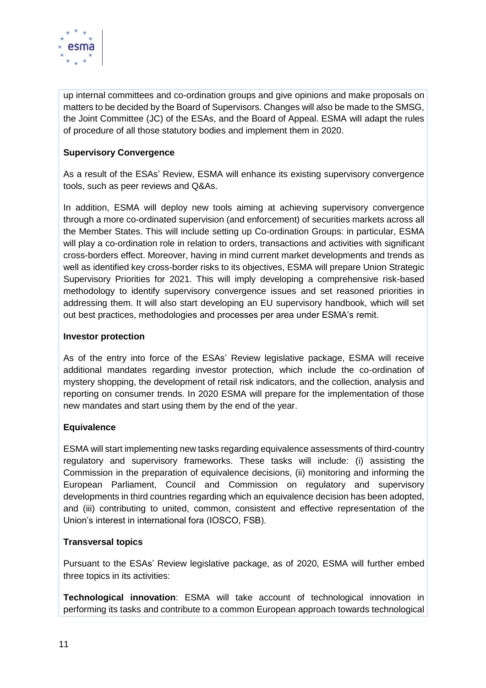

up internal committees and co-ordination groups and give opinions and make proposals on matters to be decided by the Board of Supervisors. Changes will also be made to the SMSG, the Joint Committee (JC) of the ESAs, and the Board of Appeal. ESMA will adapt the rules of procedure of all those statutory bodies and implement them in 2020.

#### **Supervisory Convergence**

As a result of the ESAs' Review, ESMA will enhance its existing supervisory convergence tools, such as peer reviews and Q&As.

In addition, ESMA will deploy new tools aiming at achieving supervisory convergence through a more co-ordinated supervision (and enforcement) of securities markets across all the Member States. This will include setting up Co-ordination Groups: in particular, ESMA will play a co-ordination role in relation to orders, transactions and activities with significant cross-borders effect. Moreover, having in mind current market developments and trends as well as identified key cross-border risks to its objectives, ESMA will prepare Union Strategic Supervisory Priorities for 2021. This will imply developing a comprehensive risk-based methodology to identify supervisory convergence issues and set reasoned priorities in addressing them. It will also start developing an EU supervisory handbook, which will set out best practices, methodologies and processes per area under ESMA's remit.

#### **Investor protection**

As of the entry into force of the ESAs' Review legislative package, ESMA will receive additional mandates regarding investor protection, which include the co-ordination of mystery shopping, the development of retail risk indicators, and the collection, analysis and reporting on consumer trends. In 2020 ESMA will prepare for the implementation of those new mandates and start using them by the end of the year.

#### **Equivalence**

ESMA will start implementing new tasks regarding equivalence assessments of third-country regulatory and supervisory frameworks. These tasks will include: (i) assisting the Commission in the preparation of equivalence decisions, (ii) monitoring and informing the European Parliament, Council and Commission on regulatory and supervisory developments in third countries regarding which an equivalence decision has been adopted, and (iii) contributing to united, common, consistent and effective representation of the Union's interest in international fora (IOSCO, FSB).

#### **Transversal topics**

Pursuant to the ESAs' Review legislative package, as of 2020, ESMA will further embed three topics in its activities:

**Technological innovation**: ESMA will take account of technological innovation in performing its tasks and contribute to a common European approach towards technological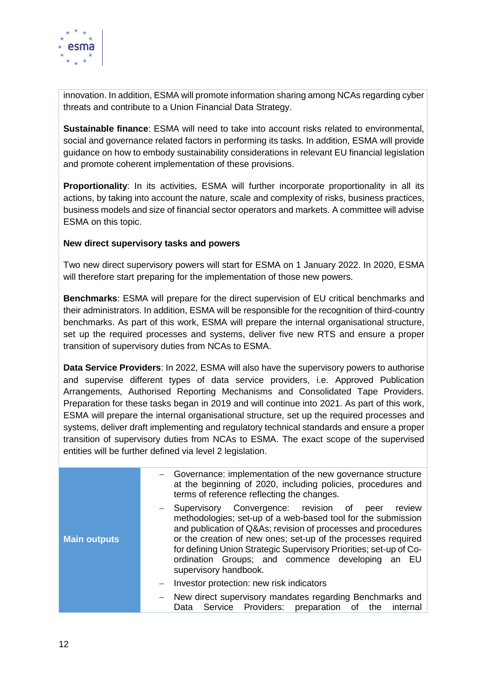

innovation. In addition, ESMA will promote information sharing among NCAs regarding cyber threats and contribute to a Union Financial Data Strategy.

**Sustainable finance**: ESMA will need to take into account risks related to environmental, social and governance related factors in performing its tasks. In addition, ESMA will provide guidance on how to embody sustainability considerations in relevant EU financial legislation and promote coherent implementation of these provisions.

**Proportionality**: In its activities, ESMA will further incorporate proportionality in all its actions, by taking into account the nature, scale and complexity of risks, business practices, business models and size of financial sector operators and markets. A committee will advise ESMA on this topic.

#### **New direct supervisory tasks and powers**

Two new direct supervisory powers will start for ESMA on 1 January 2022. In 2020, ESMA will therefore start preparing for the implementation of those new powers.

**Benchmarks**: ESMA will prepare for the direct supervision of EU critical benchmarks and their administrators. In addition, ESMA will be responsible for the recognition of third-country benchmarks. As part of this work, ESMA will prepare the internal organisational structure, set up the required processes and systems, deliver five new RTS and ensure a proper transition of supervisory duties from NCAs to ESMA.

**Data Service Providers**: In 2022, ESMA will also have the supervisory powers to authorise and supervise different types of data service providers, i.e. Approved Publication Arrangements, Authorised Reporting Mechanisms and Consolidated Tape Providers. Preparation for these tasks began in 2019 and will continue into 2021. As part of this work, ESMA will prepare the internal organisational structure, set up the required processes and systems, deliver draft implementing and regulatory technical standards and ensure a proper transition of supervisory duties from NCAs to ESMA. The exact scope of the supervised entities will be further defined via level 2 legislation.

|                     | Governance: implementation of the new governance structure<br>at the beginning of 2020, including policies, procedures and<br>terms of reference reflecting the changes.                                                                                                                                                                                                                                     |
|---------------------|--------------------------------------------------------------------------------------------------------------------------------------------------------------------------------------------------------------------------------------------------------------------------------------------------------------------------------------------------------------------------------------------------------------|
| <b>Main outputs</b> | - Supervisory Convergence: revision of<br>review<br>peer<br>methodologies; set-up of a web-based tool for the submission<br>and publication of Q&As revision of processes and procedures<br>or the creation of new ones; set-up of the processes required<br>for defining Union Strategic Supervisory Priorities; set-up of Co-<br>ordination Groups; and commence developing an EU<br>supervisory handbook. |
|                     | Investor protection: new risk indicators                                                                                                                                                                                                                                                                                                                                                                     |
|                     | New direct supervisory mandates regarding Benchmarks and<br>Service Providers: preparation of the<br>internal<br>Data                                                                                                                                                                                                                                                                                        |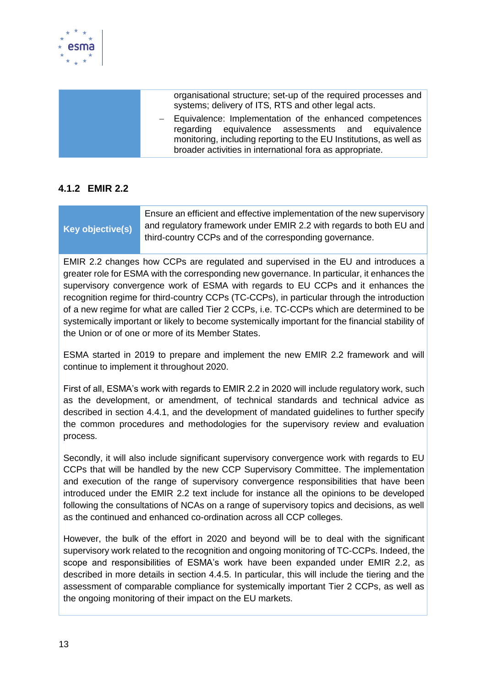

| organisational structure; set-up of the required processes and<br>systems; delivery of ITS, RTS and other legal acts.                                                                                                                            |
|--------------------------------------------------------------------------------------------------------------------------------------------------------------------------------------------------------------------------------------------------|
| - Equivalence: Implementation of the enhanced competences<br>regarding equivalence assessments and equivalence<br>monitoring, including reporting to the EU Institutions, as well as<br>broader activities in international fora as appropriate. |

#### <span id="page-12-0"></span>**4.1.2 EMIR 2.2**

|                  | Ensure an efficient and effective implementation of the new supervisory |
|------------------|-------------------------------------------------------------------------|
| Key objective(s) | and regulatory framework under EMIR 2.2 with regards to both EU and     |
|                  | third-country CCPs and of the corresponding governance.                 |

EMIR 2.2 changes how CCPs are regulated and supervised in the EU and introduces a greater role for ESMA with the corresponding new governance. In particular, it enhances the supervisory convergence work of ESMA with regards to EU CCPs and it enhances the recognition regime for third-country CCPs (TC-CCPs), in particular through the introduction of a new regime for what are called Tier 2 CCPs, i.e. TC-CCPs which are determined to be systemically important or likely to become systemically important for the financial stability of the Union or of one or more of its Member States.

ESMA started in 2019 to prepare and implement the new EMIR 2.2 framework and will continue to implement it throughout 2020.

First of all, ESMA's work with regards to EMIR 2.2 in 2020 will include regulatory work, such as the development, or amendment, of technical standards and technical advice as described in section 4.4.1, and the development of mandated guidelines to further specify the common procedures and methodologies for the supervisory review and evaluation process.

Secondly, it will also include significant supervisory convergence work with regards to EU CCPs that will be handled by the new CCP Supervisory Committee. The implementation and execution of the range of supervisory convergence responsibilities that have been introduced under the EMIR 2.2 text include for instance all the opinions to be developed following the consultations of NCAs on a range of supervisory topics and decisions, as well as the continued and enhanced co-ordination across all CCP colleges.

However, the bulk of the effort in 2020 and beyond will be to deal with the significant supervisory work related to the recognition and ongoing monitoring of TC-CCPs. Indeed, the scope and responsibilities of ESMA's work have been expanded under EMIR 2.2, as described in more details in section 4.4.5. In particular, this will include the tiering and the assessment of comparable compliance for systemically important Tier 2 CCPs, as well as the ongoing monitoring of their impact on the EU markets.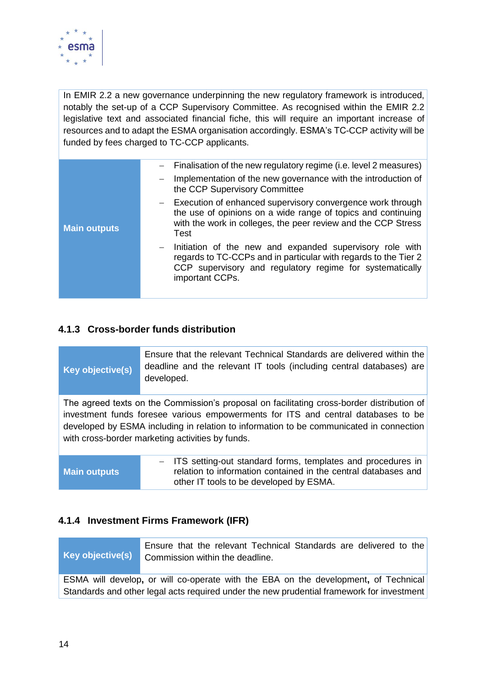

In EMIR 2.2 a new governance underpinning the new regulatory framework is introduced, notably the set-up of a CCP Supervisory Committee. As recognised within the EMIR 2.2 legislative text and associated financial fiche, this will require an important increase of resources and to adapt the ESMA organisation accordingly. ESMA's TC-CCP activity will be funded by fees charged to TC-CCP applicants.

|                     | Finalisation of the new regulatory regime (i.e. level 2 measures)<br>Implementation of the new governance with the introduction of<br>the CCP Supervisory Committee                                          |
|---------------------|--------------------------------------------------------------------------------------------------------------------------------------------------------------------------------------------------------------|
| <b>Main outputs</b> | - Execution of enhanced supervisory convergence work through<br>the use of opinions on a wide range of topics and continuing<br>with the work in colleges, the peer review and the CCP Stress<br>Test        |
|                     | - Initiation of the new and expanded supervisory role with<br>regards to TC-CCPs and in particular with regards to the Tier 2<br>CCP supervisory and regulatory regime for systematically<br>important CCPs. |

#### <span id="page-13-0"></span>**4.1.3 Cross-border funds distribution**

| Key objective(s) | Ensure that the relevant Technical Standards are delivered within the<br>deadline and the relevant IT tools (including central databases) are<br>developed.                                                                                                                                                                    |
|------------------|--------------------------------------------------------------------------------------------------------------------------------------------------------------------------------------------------------------------------------------------------------------------------------------------------------------------------------|
|                  | The agreed texts on the Commission's proposal on facilitating cross-border distribution of<br>investment funds foresee various empowerments for ITS and central databases to be<br>developed by ESMA including in relation to information to be communicated in connection<br>with cross-border marketing activities by funds. |
|                  | - ITS setting-out standard forms, templates and procedures in                                                                                                                                                                                                                                                                  |

#### <span id="page-13-1"></span>**4.1.4 Investment Firms Framework (IFR)**

**Key objective(s)** Ensure that the relevant Technical Standards are delivered to the Commission within the deadline.

ESMA will develop**,** or will co-operate with the EBA on the development**,** of Technical Standards and other legal acts required under the new prudential framework for investment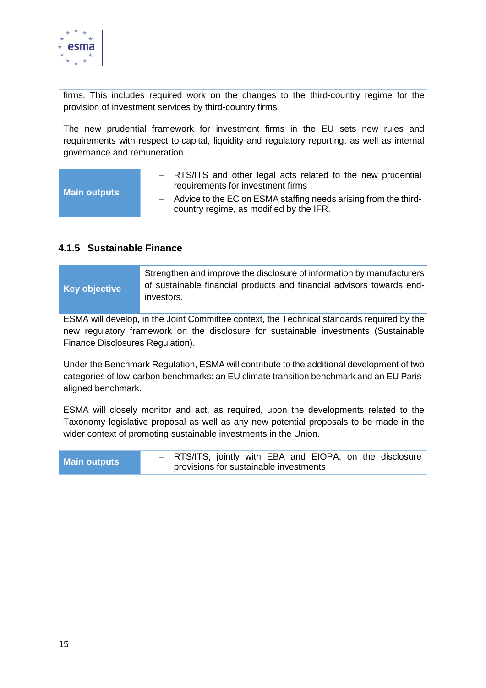

firms. This includes required work on the changes to the third-country regime for the provision of investment services by third-country firms.

The new prudential framework for investment firms in the EU sets new rules and requirements with respect to capital, liquidity and regulatory reporting, as well as internal governance and remuneration.

| <b>Main outputs</b> | - RTS/ITS and other legal acts related to the new prudential<br>requirements for investment firms            |
|---------------------|--------------------------------------------------------------------------------------------------------------|
|                     | - Advice to the EC on ESMA staffing needs arising from the third-<br>country regime, as modified by the IFR. |

#### <span id="page-14-0"></span>**4.1.5 Sustainable Finance**

|                      | Strengthen and improve the disclosure of information by manufacturers |
|----------------------|-----------------------------------------------------------------------|
| <b>Key objective</b> | of sustainable financial products and financial advisors towards end- |
|                      | investors.                                                            |

ESMA will develop, in the Joint Committee context, the Technical standards required by the new regulatory framework on the disclosure for sustainable investments (Sustainable Finance Disclosures Regulation).

Under the Benchmark Regulation, ESMA will contribute to the additional development of two categories of low-carbon benchmarks: an EU climate transition benchmark and an EU Parisaligned benchmark.

ESMA will closely monitor and act, as required, upon the developments related to the Taxonomy legislative proposal as well as any new potential proposals to be made in the wider context of promoting sustainable investments in the Union.

**Main outputs** <sup>−</sup> RTS/ITS, jointly with EBA and EIOPA, on the disclosure provisions for sustainable investments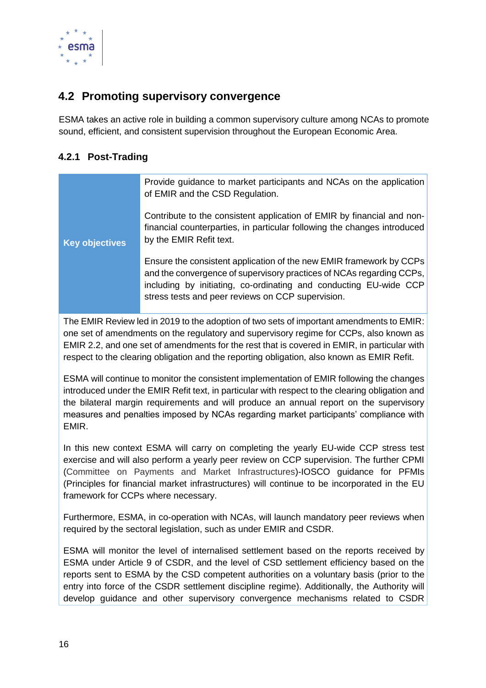

## <span id="page-15-0"></span>**4.2 Promoting supervisory convergence**

ESMA takes an active role in building a common supervisory culture among NCAs to promote sound, efficient, and consistent supervision throughout the European Economic Area.

#### <span id="page-15-1"></span>**4.2.1 Post-Trading**

|                       | Provide guidance to market participants and NCAs on the application<br>of EMIR and the CSD Regulation.                                                                                                                                                                |
|-----------------------|-----------------------------------------------------------------------------------------------------------------------------------------------------------------------------------------------------------------------------------------------------------------------|
| <b>Key objectives</b> | Contribute to the consistent application of EMIR by financial and non-<br>financial counterparties, in particular following the changes introduced<br>by the EMIR Refit text.                                                                                         |
|                       | Ensure the consistent application of the new EMIR framework by CCPs<br>and the convergence of supervisory practices of NCAs regarding CCPs,<br>including by initiating, co-ordinating and conducting EU-wide CCP<br>stress tests and peer reviews on CCP supervision. |

The EMIR Review led in 2019 to the adoption of two sets of important amendments to EMIR: one set of amendments on the regulatory and supervisory regime for CCPs, also known as EMIR 2.2, and one set of amendments for the rest that is covered in EMIR, in particular with respect to the clearing obligation and the reporting obligation, also known as EMIR Refit.

ESMA will continue to monitor the consistent implementation of EMIR following the changes introduced under the EMIR Refit text, in particular with respect to the clearing obligation and the bilateral margin requirements and will produce an annual report on the supervisory measures and penalties imposed by NCAs regarding market participants' compliance with EMIR.

In this new context ESMA will carry on completing the yearly EU-wide CCP stress test exercise and will also perform a yearly peer review on CCP supervision. The further CPMI (Committee on Payments and Market Infrastructures)-IOSCO guidance for PFMIs (Principles for financial market infrastructures) will continue to be incorporated in the EU framework for CCPs where necessary.

Furthermore, ESMA, in co-operation with NCAs, will launch mandatory peer reviews when required by the sectoral legislation, such as under EMIR and CSDR.

ESMA will monitor the level of internalised settlement based on the reports received by ESMA under Article 9 of CSDR, and the level of CSD settlement efficiency based on the reports sent to ESMA by the CSD competent authorities on a voluntary basis (prior to the entry into force of the CSDR settlement discipline regime). Additionally, the Authority will develop guidance and other supervisory convergence mechanisms related to CSDR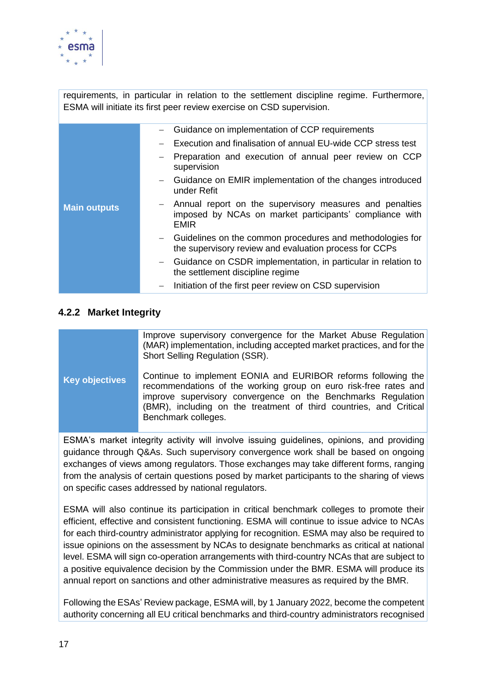

requirements, in particular in relation to the settlement discipline regime. Furthermore, ESMA will initiate its first peer review exercise on CSD supervision.

|                     | Guidance on implementation of CCP requirements<br>Execution and finalisation of annual EU-wide CCP stress test                      |
|---------------------|-------------------------------------------------------------------------------------------------------------------------------------|
| <b>Main outputs</b> | Preparation and execution of annual peer review on CCP<br>supervision                                                               |
|                     | Guidance on EMIR implementation of the changes introduced<br>under Refit                                                            |
|                     | - Annual report on the supervisory measures and penalties<br>imposed by NCAs on market participants' compliance with<br><b>EMIR</b> |
|                     | - Guidelines on the common procedures and methodologies for<br>the supervisory review and evaluation process for CCPs               |
|                     | - Guidance on CSDR implementation, in particular in relation to<br>the settlement discipline regime                                 |
|                     | Initiation of the first peer review on CSD supervision                                                                              |

#### <span id="page-16-0"></span>**4.2.2 Market Integrity**

|                       | Improve supervisory convergence for the Market Abuse Regulation<br>(MAR) implementation, including accepted market practices, and for the<br>Short Selling Regulation (SSR).                                                                                                                   |
|-----------------------|------------------------------------------------------------------------------------------------------------------------------------------------------------------------------------------------------------------------------------------------------------------------------------------------|
| <b>Key objectives</b> | Continue to implement EONIA and EURIBOR reforms following the<br>recommendations of the working group on euro risk-free rates and<br>improve supervisory convergence on the Benchmarks Regulation<br>(BMR), including on the treatment of third countries, and Critical<br>Benchmark colleges. |
|                       | $FSMA$ 's market integrity activity will involve issuing quidelines opinions and providing                                                                                                                                                                                                     |

ESMA's market integrity activity will involve issuing guidelines, opinions, and providing guidance through Q&As. Such supervisory convergence work shall be based on ongoing exchanges of views among regulators. Those exchanges may take different forms, ranging from the analysis of certain questions posed by market participants to the sharing of views on specific cases addressed by national regulators.

ESMA will also continue its participation in critical benchmark colleges to promote their efficient, effective and consistent functioning. ESMA will continue to issue advice to NCAs for each third-country administrator applying for recognition. ESMA may also be required to issue opinions on the assessment by NCAs to designate benchmarks as critical at national level. ESMA will sign co-operation arrangements with third-country NCAs that are subject to a positive equivalence decision by the Commission under the BMR. ESMA will produce its annual report on sanctions and other administrative measures as required by the BMR.

Following the ESAs' Review package, ESMA will, by 1 January 2022, become the competent authority concerning all EU critical benchmarks and third-country administrators recognised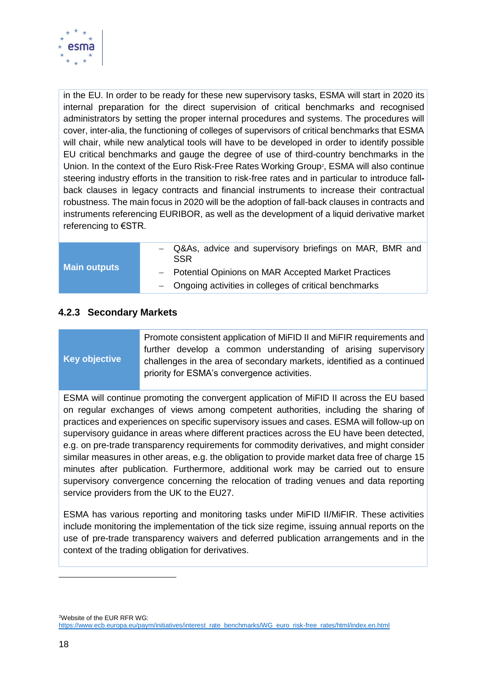

in the EU. In order to be ready for these new supervisory tasks, ESMA will start in 2020 its internal preparation for the direct supervision of critical benchmarks and recognised administrators by setting the proper internal procedures and systems. The procedures will cover, inter-alia, the functioning of colleges of supervisors of critical benchmarks that ESMA will chair, while new analytical tools will have to be developed in order to identify possible EU critical benchmarks and gauge the degree of use of third-country benchmarks in the Union. In the context of the Euro Risk-Free Rates Working Group<sup>2</sup>, ESMA will also continue steering industry efforts in the transition to risk-free rates and in particular to introduce fallback clauses in legacy contracts and financial instruments to increase their contractual robustness. The main focus in 2020 will be the adoption of fall-back clauses in contracts and instruments referencing EURIBOR, as well as the development of a liquid derivative market referencing to €STR.

#### **Main outputs**

- Q&As, advice and supervisory briefings on MAR, BMR and SSR
- − Potential Opinions on MAR Accepted Market Practices
- − Ongoing activities in colleges of critical benchmarks

#### <span id="page-17-0"></span>**4.2.3 Secondary Markets**

## **Key objective**

Promote consistent application of MiFID II and MiFIR requirements and further develop a common understanding of arising supervisory challenges in the area of secondary markets, identified as a continued priority for ESMA's convergence activities.

ESMA will continue promoting the convergent application of MiFID II across the EU based on regular exchanges of views among competent authorities, including the sharing of practices and experiences on specific supervisory issues and cases. ESMA will follow-up on supervisory guidance in areas where different practices across the EU have been detected, e.g. on pre-trade transparency requirements for commodity derivatives, and might consider similar measures in other areas, e.g. the obligation to provide market data free of charge 15 minutes after publication. Furthermore, additional work may be carried out to ensure supervisory convergence concerning the relocation of trading venues and data reporting service providers from the UK to the EU27.

ESMA has various reporting and monitoring tasks under MiFID II/MiFIR. These activities include monitoring the implementation of the tick size regime, issuing annual reports on the use of pre-trade transparency waivers and deferred publication arrangements and in the context of the trading obligation for derivatives.

<sup>2</sup>Website of the EUR RFR WG:

-

[https://www.ecb.europa.eu/paym/initiatives/interest\\_rate\\_benchmarks/WG\\_euro\\_risk-free\\_rates/html/index.en.html](https://www.ecb.europa.eu/paym/initiatives/interest_rate_benchmarks/WG_euro_risk-free_rates/html/index.en.html)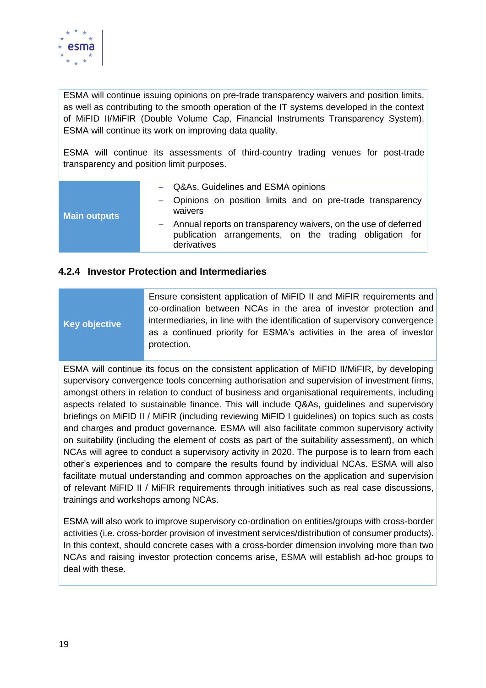

ESMA will continue issuing opinions on pre-trade transparency waivers and position limits, as well as contributing to the smooth operation of the IT systems developed in the context of MiFID II/MiFIR (Double Volume Cap, Financial Instruments Transparency System). ESMA will continue its work on improving data quality.

ESMA will continue its assessments of third-country trading venues for post-trade transparency and position limit purposes.

| - Q&As, Guidelines and ESMA opinions | - Opinions on position limits and on pre-trade transparency<br>waivers<br>- Annual reports on transparency waivers, on the use of deferred<br>publication arrangements, on the trading obligation for<br>derivatives |
|--------------------------------------|----------------------------------------------------------------------------------------------------------------------------------------------------------------------------------------------------------------------|
| <b>Main outputs</b>                  |                                                                                                                                                                                                                      |

#### <span id="page-18-0"></span>**4.2.4 Investor Protection and Intermediaries**

#### **Key objective** Ensure consistent application of MiFID II and MiFIR requirements and co-ordination between NCAs in the area of investor protection and intermediaries, in line with the identification of supervisory convergence as a continued priority for ESMA's activities in the area of investor protection.

ESMA will continue its focus on the consistent application of MiFID II/MiFIR, by developing supervisory convergence tools concerning authorisation and supervision of investment firms, amongst others in relation to conduct of business and organisational requirements, including aspects related to sustainable finance. This will include Q&As, guidelines and supervisory briefings on MiFID II / MiFIR (including reviewing MiFID I guidelines) on topics such as costs and charges and product governance. ESMA will also facilitate common supervisory activity on suitability (including the element of costs as part of the suitability assessment), on which NCAs will agree to conduct a supervisory activity in 2020. The purpose is to learn from each other's experiences and to compare the results found by individual NCAs. ESMA will also facilitate mutual understanding and common approaches on the application and supervision of relevant MiFID II / MiFIR requirements through initiatives such as real case discussions, trainings and workshops among NCAs.

ESMA will also work to improve supervisory co-ordination on entities/groups with cross-border activities (i.e. cross-border provision of investment services/distribution of consumer products). In this context, should concrete cases with a cross-border dimension involving more than two NCAs and raising investor protection concerns arise, ESMA will establish ad-hoc groups to deal with these.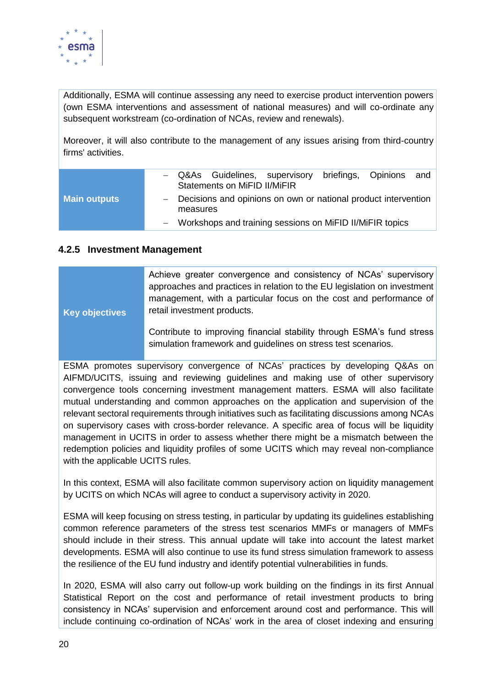

Additionally, ESMA will continue assessing any need to exercise product intervention powers (own ESMA interventions and assessment of national measures) and will co-ordinate any subsequent workstream (co-ordination of NCAs, review and renewals).

Moreover, it will also contribute to the management of any issues arising from third-country firms' activities.

|                     |          | - Q&As Guidelines, supervisory<br>Statements on MiFID II/MiFIR   | briefings, Opinions | and |
|---------------------|----------|------------------------------------------------------------------|---------------------|-----|
| <b>Main outputs</b> | measures | - Decisions and opinions on own or national product intervention |                     |     |
|                     |          | - Workshops and training sessions on MiFID II/MiFIR topics       |                     |     |

#### <span id="page-19-0"></span>**4.2.5 Investment Management**

| <b>Key objectives</b> | Achieve greater convergence and consistency of NCAs' supervisory<br>approaches and practices in relation to the EU legislation on investment<br>management, with a particular focus on the cost and performance of<br>retail investment products. |
|-----------------------|---------------------------------------------------------------------------------------------------------------------------------------------------------------------------------------------------------------------------------------------------|
|                       | Contribute to improving financial stability through ESMA's fund stress<br>simulation framework and guidelines on stress test scenarios.                                                                                                           |

ESMA promotes supervisory convergence of NCAs' practices by developing Q&As on AIFMD/UCITS, issuing and reviewing guidelines and making use of other supervisory convergence tools concerning investment management matters. ESMA will also facilitate mutual understanding and common approaches on the application and supervision of the relevant sectoral requirements through initiatives such as facilitating discussions among NCAs on supervisory cases with cross-border relevance. A specific area of focus will be liquidity management in UCITS in order to assess whether there might be a mismatch between the redemption policies and liquidity profiles of some UCITS which may reveal non-compliance with the applicable UCITS rules.

In this context, ESMA will also facilitate common supervisory action on liquidity management by UCITS on which NCAs will agree to conduct a supervisory activity in 2020.

ESMA will keep focusing on stress testing, in particular by updating its guidelines establishing common reference parameters of the stress test scenarios MMFs or managers of MMFs should include in their stress. This annual update will take into account the latest market developments. ESMA will also continue to use its fund stress simulation framework to assess the resilience of the EU fund industry and identify potential vulnerabilities in funds.

In 2020, ESMA will also carry out follow-up work building on the findings in its first Annual Statistical Report on the cost and performance of retail investment products to bring consistency in NCAs' supervision and enforcement around cost and performance. This will include continuing co-ordination of NCAs' work in the area of closet indexing and ensuring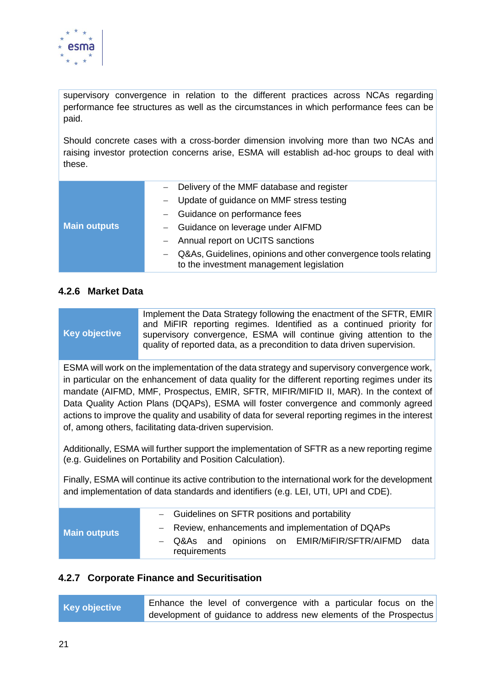

supervisory convergence in relation to the different practices across NCAs regarding performance fee structures as well as the circumstances in which performance fees can be paid.

Should concrete cases with a cross-border dimension involving more than two NCAs and raising investor protection concerns arise, ESMA will establish ad-hoc groups to deal with these.

|                     | - Delivery of the MMF database and register                                                                 |
|---------------------|-------------------------------------------------------------------------------------------------------------|
| <b>Main outputs</b> | - Update of guidance on MMF stress testing                                                                  |
|                     | - Guidance on performance fees                                                                              |
|                     | - Guidance on leverage under AIFMD                                                                          |
|                     | - Annual report on UCITS sanctions                                                                          |
|                     | Q&As, Guidelines, opinions and other convergence tools relating<br>to the investment management legislation |

#### <span id="page-20-0"></span>**4.2.6 Market Data**

**Key objective**

Implement the Data Strategy following the enactment of the SFTR, EMIR and MiFIR reporting regimes. Identified as a continued priority for supervisory convergence, ESMA will continue giving attention to the quality of reported data, as a precondition to data driven supervision.

ESMA will work on the implementation of the data strategy and supervisory convergence work, in particular on the enhancement of data quality for the different reporting regimes under its mandate (AIFMD, MMF, Prospectus, EMIR, SFTR, MIFIR/MIFID II, MAR). In the context of Data Quality Action Plans (DQAPs), ESMA will foster convergence and commonly agreed actions to improve the quality and usability of data for several reporting regimes in the interest of, among others, facilitating data-driven supervision.

Additionally, ESMA will further support the implementation of SFTR as a new reporting regime (e.g. Guidelines on Portability and Position Calculation).

Finally, ESMA will continue its active contribution to the international work for the development and implementation of data standards and identifiers (e.g. LEI, UTI, UPI and CDE).

| <b>Main outputs</b> | - Guidelines on SFTR positions and portability                       |  |  |  |  |  |  |  |  |
|---------------------|----------------------------------------------------------------------|--|--|--|--|--|--|--|--|
|                     | - Review, enhancements and implementation of DQAPs                   |  |  |  |  |  |  |  |  |
|                     | - Q&As and opinions on EMIR/MiFIR/SFTR/AIFMD<br>data<br>requirements |  |  |  |  |  |  |  |  |

#### <span id="page-20-1"></span>**4.2.7 Corporate Finance and Securitisation**

| Key objective |  |  | Enhance the level of convergence with a particular focus on the   |  |  |  |
|---------------|--|--|-------------------------------------------------------------------|--|--|--|
|               |  |  | development of guidance to address new elements of the Prospectus |  |  |  |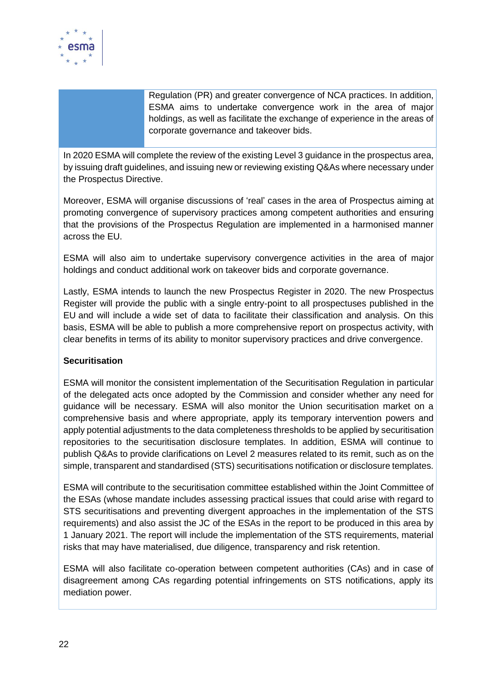

Regulation (PR) and greater convergence of NCA practices. In addition, ESMA aims to undertake convergence work in the area of major holdings, as well as facilitate the exchange of experience in the areas of corporate governance and takeover bids.

In 2020 ESMA will complete the review of the existing Level 3 guidance in the prospectus area, by issuing draft guidelines, and issuing new or reviewing existing Q&As where necessary under the Prospectus Directive.

Moreover, ESMA will organise discussions of 'real' cases in the area of Prospectus aiming at promoting convergence of supervisory practices among competent authorities and ensuring that the provisions of the Prospectus Regulation are implemented in a harmonised manner across the EU.

ESMA will also aim to undertake supervisory convergence activities in the area of major holdings and conduct additional work on takeover bids and corporate governance.

Lastly, ESMA intends to launch the new Prospectus Register in 2020. The new Prospectus Register will provide the public with a single entry-point to all prospectuses published in the EU and will include a wide set of data to facilitate their classification and analysis. On this basis, ESMA will be able to publish a more comprehensive report on prospectus activity, with clear benefits in terms of its ability to monitor supervisory practices and drive convergence.

#### **Securitisation**

ESMA will monitor the consistent implementation of the Securitisation Regulation in particular of the delegated acts once adopted by the Commission and consider whether any need for guidance will be necessary. ESMA will also monitor the Union securitisation market on a comprehensive basis and where appropriate, apply its temporary intervention powers and apply potential adjustments to the data completeness thresholds to be applied by securitisation repositories to the securitisation disclosure templates. In addition, ESMA will continue to publish Q&As to provide clarifications on Level 2 measures related to its remit, such as on the simple, transparent and standardised (STS) securitisations notification or disclosure templates.

ESMA will contribute to the securitisation committee established within the Joint Committee of the ESAs (whose mandate includes assessing practical issues that could arise with regard to STS securitisations and preventing divergent approaches in the implementation of the STS requirements) and also assist the JC of the ESAs in the report to be produced in this area by 1 January 2021. The report will include the implementation of the STS requirements, material risks that may have materialised, due diligence, transparency and risk retention.

ESMA will also facilitate co-operation between competent authorities (CAs) and in case of disagreement among CAs regarding potential infringements on STS notifications, apply its mediation power.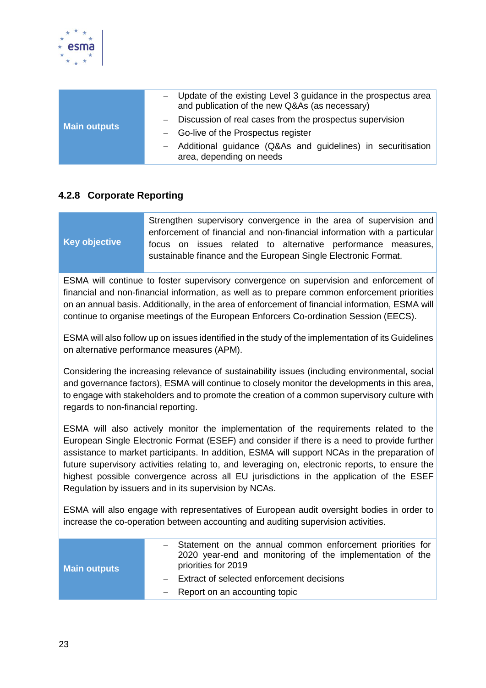

| <b>Main outputs</b> | - Update of the existing Level 3 guidance in the prospectus area<br>and publication of the new Q&As (as necessary) |
|---------------------|--------------------------------------------------------------------------------------------------------------------|
|                     | - Discussion of real cases from the prospectus supervision                                                         |
|                     | - Go-live of the Prospectus register                                                                               |
|                     | - Additional guidance (Q&As and guidelines) in securitisation<br>area, depending on needs                          |

#### <span id="page-22-0"></span>**4.2.8 Corporate Reporting**

|                      | Strengthen supervisory convergence in the area of supervision and        |  |  |  |  |  |  |
|----------------------|--------------------------------------------------------------------------|--|--|--|--|--|--|
|                      | enforcement of financial and non-financial information with a particular |  |  |  |  |  |  |
| <b>Key objective</b> | focus on issues related to alternative performance measures,             |  |  |  |  |  |  |
|                      | sustainable finance and the European Single Electronic Format.           |  |  |  |  |  |  |

ESMA will continue to foster supervisory convergence on supervision and enforcement of financial and non-financial information, as well as to prepare common enforcement priorities on an annual basis. Additionally, in the area of enforcement of financial information, ESMA will continue to organise meetings of the European Enforcers Co-ordination Session (EECS).

ESMA will also follow up on issues identified in the study of the implementation of its Guidelines on alternative performance measures (APM).

Considering the increasing relevance of sustainability issues (including environmental, social and governance factors), ESMA will continue to closely monitor the developments in this area, to engage with stakeholders and to promote the creation of a common supervisory culture with regards to non-financial reporting.

ESMA will also actively monitor the implementation of the requirements related to the European Single Electronic Format (ESEF) and consider if there is a need to provide further assistance to market participants. In addition, ESMA will support NCAs in the preparation of future supervisory activities relating to, and leveraging on, electronic reports, to ensure the highest possible convergence across all EU jurisdictions in the application of the ESEF Regulation by issuers and in its supervision by NCAs.

ESMA will also engage with representatives of European audit oversight bodies in order to increase the co-operation between accounting and auditing supervision activities.

| <b>Main outputs</b> | - Statement on the annual common enforcement priorities for<br>2020 year-end and monitoring of the implementation of the<br>priorities for 2019 |
|---------------------|-------------------------------------------------------------------------------------------------------------------------------------------------|
|                     | - Extract of selected enforcement decisions<br>$-$ Report on an accounting topic                                                                |
|                     |                                                                                                                                                 |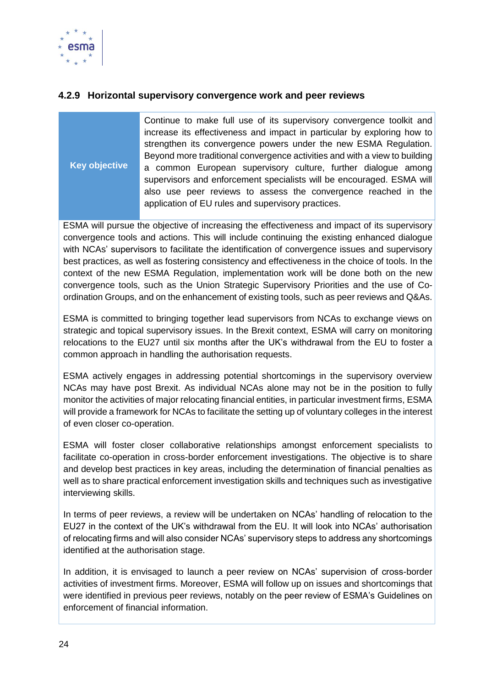

#### <span id="page-23-0"></span>**4.2.9 Horizontal supervisory convergence work and peer reviews**

**Key objective**

Continue to make full use of its supervisory convergence toolkit and increase its effectiveness and impact in particular by exploring how to strengthen its convergence powers under the new ESMA Regulation. Beyond more traditional convergence activities and with a view to building a common European supervisory culture, further dialogue among supervisors and enforcement specialists will be encouraged. ESMA will also use peer reviews to assess the convergence reached in the application of EU rules and supervisory practices.

ESMA will pursue the objective of increasing the effectiveness and impact of its supervisory convergence tools and actions. This will include continuing the existing enhanced dialogue with NCAs' supervisors to facilitate the identification of convergence issues and supervisory best practices, as well as fostering consistency and effectiveness in the choice of tools. In the context of the new ESMA Regulation, implementation work will be done both on the new convergence tools, such as the Union Strategic Supervisory Priorities and the use of Coordination Groups, and on the enhancement of existing tools, such as peer reviews and Q&As.

ESMA is committed to bringing together lead supervisors from NCAs to exchange views on strategic and topical supervisory issues. In the Brexit context, ESMA will carry on monitoring relocations to the EU27 until six months after the UK's withdrawal from the EU to foster a common approach in handling the authorisation requests.

ESMA actively engages in addressing potential shortcomings in the supervisory overview NCAs may have post Brexit. As individual NCAs alone may not be in the position to fully monitor the activities of major relocating financial entities, in particular investment firms, ESMA will provide a framework for NCAs to facilitate the setting up of voluntary colleges in the interest of even closer co-operation.

ESMA will foster closer collaborative relationships amongst enforcement specialists to facilitate co-operation in cross-border enforcement investigations. The objective is to share and develop best practices in key areas, including the determination of financial penalties as well as to share practical enforcement investigation skills and techniques such as investigative interviewing skills.

In terms of peer reviews, a review will be undertaken on NCAs' handling of relocation to the EU27 in the context of the UK's withdrawal from the EU. It will look into NCAs' authorisation of relocating firms and will also consider NCAs' supervisory steps to address any shortcomings identified at the authorisation stage.

In addition, it is envisaged to launch a peer review on NCAs' supervision of cross-border activities of investment firms. Moreover, ESMA will follow up on issues and shortcomings that were identified in previous peer reviews, notably on the peer review of ESMA's Guidelines on enforcement of financial information.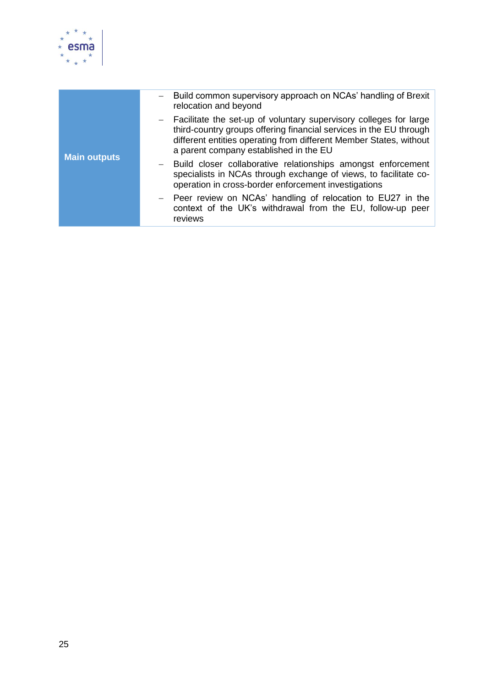

| <b>Main outputs</b> | Build common supervisory approach on NCAs' handling of Brexit<br>relocation and beyond                                                                                                                                                                    |
|---------------------|-----------------------------------------------------------------------------------------------------------------------------------------------------------------------------------------------------------------------------------------------------------|
|                     | - Facilitate the set-up of voluntary supervisory colleges for large<br>third-country groups offering financial services in the EU through<br>different entities operating from different Member States, without<br>a parent company established in the EU |
|                     | Build closer collaborative relationships amongst enforcement<br>specialists in NCAs through exchange of views, to facilitate co-<br>operation in cross-border enforcement investigations                                                                  |
|                     | - Peer review on NCAs' handling of relocation to EU27 in the<br>context of the UK's withdrawal from the EU, follow-up peer<br>reviews                                                                                                                     |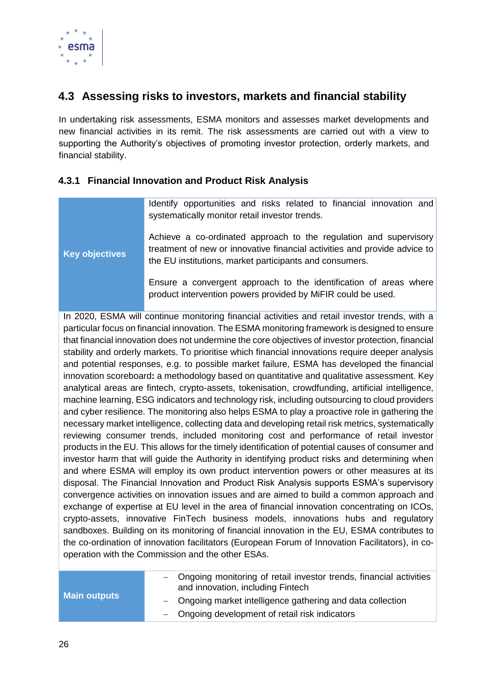

## <span id="page-25-0"></span>**4.3 Assessing risks to investors, markets and financial stability**

In undertaking risk assessments, ESMA monitors and assesses market developments and new financial activities in its remit. The risk assessments are carried out with a view to supporting the Authority's objectives of promoting investor protection, orderly markets, and financial stability.

#### <span id="page-25-1"></span>**4.3.1 Financial Innovation and Product Risk Analysis**

| <b>Key objectives</b> | Identify opportunities and risks related to financial innovation and<br>systematically monitor retail investor trends.<br>Achieve a co-ordinated approach to the regulation and supervisory<br>treatment of new or innovative financial activities and provide advice to<br>the EU institutions, market participants and consumers. |
|-----------------------|-------------------------------------------------------------------------------------------------------------------------------------------------------------------------------------------------------------------------------------------------------------------------------------------------------------------------------------|
|                       | Ensure a convergent approach to the identification of areas where<br>product intervention powers provided by MiFIR could be used.                                                                                                                                                                                                   |

In 2020, ESMA will continue monitoring financial activities and retail investor trends, with a particular focus on financial innovation. The ESMA monitoring framework is designed to ensure that financial innovation does not undermine the core objectives of investor protection, financial stability and orderly markets. To prioritise which financial innovations require deeper analysis and potential responses, e.g. to possible market failure, ESMA has developed the financial innovation scoreboard**:** a methodology based on quantitative and qualitative assessment. Key analytical areas are fintech, crypto-assets, tokenisation, crowdfunding, artificial intelligence, machine learning, ESG indicators and technology risk, including outsourcing to cloud providers and cyber resilience. The monitoring also helps ESMA to play a proactive role in gathering the necessary market intelligence, collecting data and developing retail risk metrics, systematically reviewing consumer trends, included monitoring cost and performance of retail investor products in the EU. This allows for the timely identification of potential causes of consumer and investor harm that will guide the Authority in identifying product risks and determining when and where ESMA will employ its own product intervention powers or other measures at its disposal. The Financial Innovation and Product Risk Analysis supports ESMA's supervisory convergence activities on innovation issues and are aimed to build a common approach and exchange of expertise at EU level in the area of financial innovation concentrating on ICOs, crypto-assets, innovative FinTech business models, innovations hubs and regulatory sandboxes. Building on its monitoring of financial innovation in the EU, ESMA contributes to the co-ordination of innovation facilitators (European Forum of Innovation Facilitators), in cooperation with the Commission and the other ESAs.

| <b>Main outputs</b> | - Ongoing monitoring of retail investor trends, financial activities<br>and innovation, including Fintech |
|---------------------|-----------------------------------------------------------------------------------------------------------|
|                     | - Ongoing market intelligence gathering and data collection                                               |
|                     | - Ongoing development of retail risk indicators                                                           |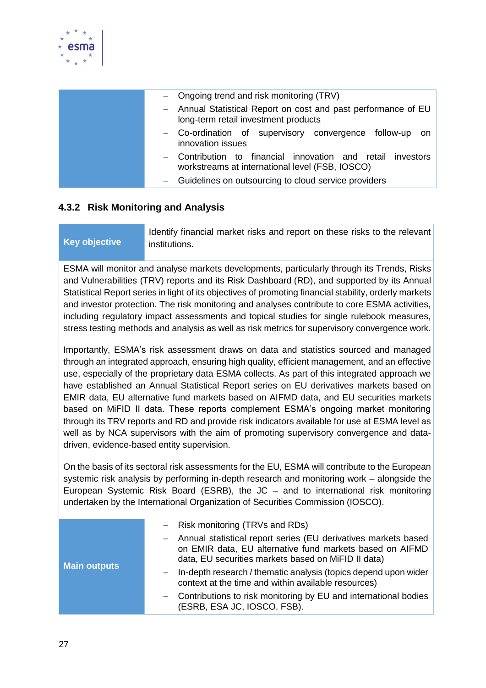

| - Ongoing trend and risk monitoring (TRV)                                                                         |
|-------------------------------------------------------------------------------------------------------------------|
| - Annual Statistical Report on cost and past performance of EU<br>long-term retail investment products            |
| - Co-ordination of supervisory convergence follow-up on<br>innovation issues                                      |
| - Contribution to financial innovation and retail<br>investors<br>workstreams at international level (FSB, IOSCO) |
| Guidelines on outsourcing to cloud service providers                                                              |

#### <span id="page-26-0"></span>**4.3.2 Risk Monitoring and Analysis**

**Key objective** Identify financial market risks and report on these risks to the relevant institutions.

ESMA will monitor and analyse markets developments, particularly through its Trends, Risks and Vulnerabilities (TRV) reports and its Risk Dashboard (RD), and supported by its Annual Statistical Report series in light of its objectives of promoting financial stability, orderly markets and investor protection. The risk monitoring and analyses contribute to core ESMA activities, including regulatory impact assessments and topical studies for single rulebook measures, stress testing methods and analysis as well as risk metrics for supervisory convergence work.

Importantly, ESMA's risk assessment draws on data and statistics sourced and managed through an integrated approach, ensuring high quality, efficient management, and an effective use, especially of the proprietary data ESMA collects. As part of this integrated approach we have established an Annual Statistical Report series on EU derivatives markets based on EMIR data, EU alternative fund markets based on AIFMD data, and EU securities markets based on MiFID II data. These reports complement ESMA's ongoing market monitoring through its TRV reports and RD and provide risk indicators available for use at ESMA level as well as by NCA supervisors with the aim of promoting supervisory convergence and datadriven, evidence-based entity supervision.

On the basis of its sectoral risk assessments for the EU, ESMA will contribute to the European systemic risk analysis by performing in-depth research and monitoring work – alongside the European Systemic Risk Board (ESRB), the JC – and to international risk monitoring undertaken by the International Organization of Securities Commission (IOSCO).

| <b>Main outputs</b> | - Risk monitoring (TRVs and RDs)                                                                                                                                                    |
|---------------------|-------------------------------------------------------------------------------------------------------------------------------------------------------------------------------------|
|                     | - Annual statistical report series (EU derivatives markets based<br>on EMIR data, EU alternative fund markets based on AIFMD<br>data, EU securities markets based on MiFID II data) |
|                     | In-depth research / thematic analysis (topics depend upon wider<br>context at the time and within available resources)                                                              |
|                     | - Contributions to risk monitoring by EU and international bodies<br>(ESRB, ESA JC, IOSCO, FSB).                                                                                    |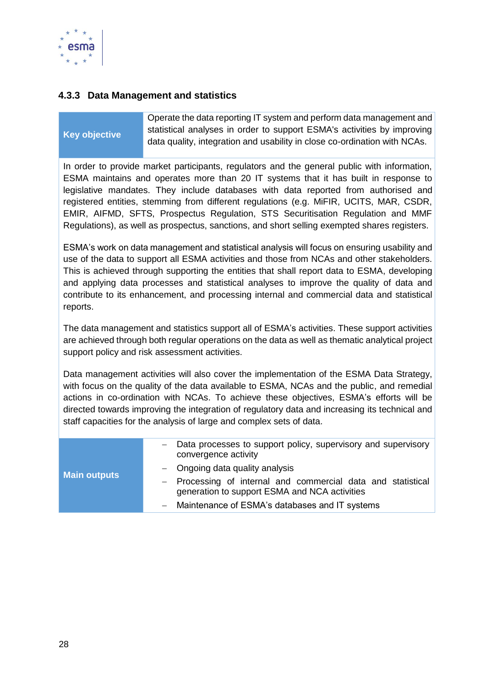

#### <span id="page-27-0"></span>**4.3.3 Data Management and statistics**

#### **Key objective** Operate the data reporting IT system and perform data management and statistical analyses in order to support ESMA's activities by improving data quality, integration and usability in close co-ordination with NCAs.

In order to provide market participants, regulators and the general public with information, ESMA maintains and operates more than 20 IT systems that it has built in response to legislative mandates. They include databases with data reported from authorised and registered entities, stemming from different regulations (e.g. MiFIR, UCITS, MAR, CSDR, EMIR, AIFMD, SFTS, Prospectus Regulation, STS Securitisation Regulation and MMF Regulations), as well as prospectus, sanctions, and short selling exempted shares registers.

ESMA's work on data management and statistical analysis will focus on ensuring usability and use of the data to support all ESMA activities and those from NCAs and other stakeholders. This is achieved through supporting the entities that shall report data to ESMA, developing and applying data processes and statistical analyses to improve the quality of data and contribute to its enhancement, and processing internal and commercial data and statistical reports.

The data management and statistics support all of ESMA's activities. These support activities are achieved through both regular operations on the data as well as thematic analytical project support policy and risk assessment activities.

Data management activities will also cover the implementation of the ESMA Data Strategy, with focus on the quality of the data available to ESMA, NCAs and the public, and remedial actions in co-ordination with NCAs. To achieve these objectives, ESMA's efforts will be directed towards improving the integration of regulatory data and increasing its technical and staff capacities for the analysis of large and complex sets of data.

| <b>Main outputs</b> | Data processes to support policy, supervisory and supervisory<br>convergence activity                         |
|---------------------|---------------------------------------------------------------------------------------------------------------|
|                     | $-$ Ongoing data quality analysis                                                                             |
|                     | - Processing of internal and commercial data and statistical<br>generation to support ESMA and NCA activities |
|                     | - Maintenance of ESMA's databases and IT systems                                                              |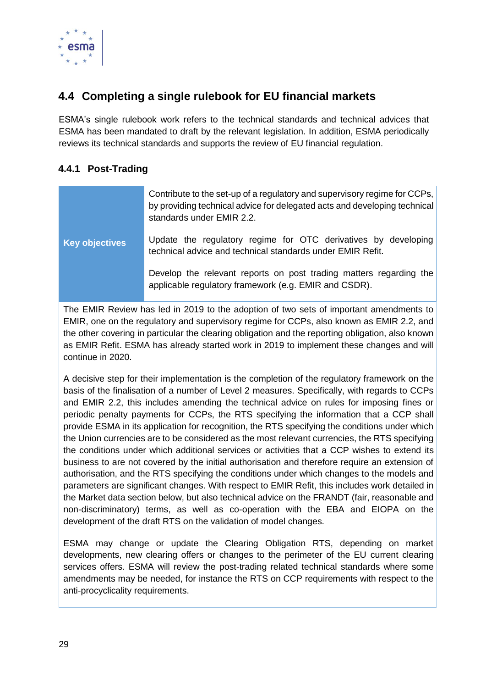

## <span id="page-28-0"></span>**4.4 Completing a single rulebook for EU financial markets**

ESMA's single rulebook work refers to the technical standards and technical advices that ESMA has been mandated to draft by the relevant legislation. In addition, ESMA periodically reviews its technical standards and supports the review of EU financial regulation.

#### <span id="page-28-1"></span>**4.4.1 Post-Trading**

|                       | Contribute to the set-up of a regulatory and supervisory regime for CCPs,<br>by providing technical advice for delegated acts and developing technical<br>standards under EMIR 2.2. |  |  |  |
|-----------------------|-------------------------------------------------------------------------------------------------------------------------------------------------------------------------------------|--|--|--|
| <b>Key objectives</b> | Update the regulatory regime for OTC derivatives by developing<br>technical advice and technical standards under EMIR Refit.                                                        |  |  |  |
|                       | Develop the relevant reports on post trading matters regarding the<br>applicable regulatory framework (e.g. EMIR and CSDR).                                                         |  |  |  |

The EMIR Review has led in 2019 to the adoption of two sets of important amendments to EMIR, one on the regulatory and supervisory regime for CCPs, also known as EMIR 2.2, and the other covering in particular the clearing obligation and the reporting obligation, also known as EMIR Refit. ESMA has already started work in 2019 to implement these changes and will continue in 2020.

A decisive step for their implementation is the completion of the regulatory framework on the basis of the finalisation of a number of Level 2 measures. Specifically, with regards to CCPs and EMIR 2.2, this includes amending the technical advice on rules for imposing fines or periodic penalty payments for CCPs, the RTS specifying the information that a CCP shall provide ESMA in its application for recognition, the RTS specifying the conditions under which the Union currencies are to be considered as the most relevant currencies, the RTS specifying the conditions under which additional services or activities that a CCP wishes to extend its business to are not covered by the initial authorisation and therefore require an extension of authorisation, and the RTS specifying the conditions under which changes to the models and parameters are significant changes. With respect to EMIR Refit, this includes work detailed in the Market data section below, but also technical advice on the FRANDT (fair, reasonable and non-discriminatory) terms, as well as co-operation with the EBA and EIOPA on the development of the draft RTS on the validation of model changes.

ESMA may change or update the Clearing Obligation RTS, depending on market developments, new clearing offers or changes to the perimeter of the EU current clearing services offers. ESMA will review the post-trading related technical standards where some amendments may be needed, for instance the RTS on CCP requirements with respect to the anti-procyclicality requirements.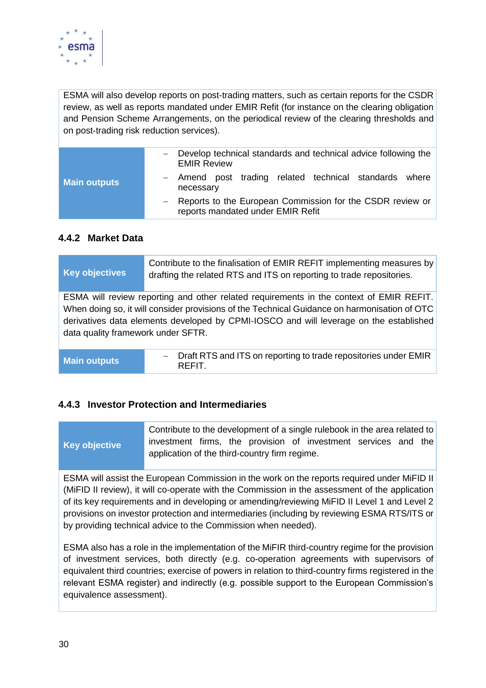

ESMA will also develop reports on post-trading matters, such as certain reports for the CSDR review, as well as reports mandated under EMIR Refit (for instance on the clearing obligation and Pension Scheme Arrangements, on the periodical review of the clearing thresholds and on post-trading risk reduction services).

| <b>Main outputs</b> | Develop technical standards and technical advice following the<br><b>EMIR Review</b><br>- Amend post trading related technical standards where<br>necessary |
|---------------------|-------------------------------------------------------------------------------------------------------------------------------------------------------------|
|                     | - Reports to the European Commission for the CSDR review or<br>reports mandated under EMIR Refit                                                            |

#### <span id="page-29-0"></span>**4.4.2 Market Data**

| <b>Key objectives</b>              | Contribute to the finalisation of EMIR REFIT implementing measures by<br>drafting the related RTS and ITS on reporting to trade repositories. |  |  |
|------------------------------------|-----------------------------------------------------------------------------------------------------------------------------------------------|--|--|
|                                    | ESMA will review reporting and other related requirements in the context of EMIR REFIT.                                                       |  |  |
|                                    |                                                                                                                                               |  |  |
|                                    | When doing so, it will consider provisions of the Technical Guidance on harmonisation of OTC                                                  |  |  |
|                                    | derivatives data elements developed by CPMI-IOSCO and will leverage on the established                                                        |  |  |
|                                    |                                                                                                                                               |  |  |
| data quality framework under SFTR. |                                                                                                                                               |  |  |
|                                    |                                                                                                                                               |  |  |
|                                    |                                                                                                                                               |  |  |
|                                    | - Draft RTS and ITS on reporting to trade repositories under EMIR                                                                             |  |  |
| <b>Main outputs</b>                | REFIT.                                                                                                                                        |  |  |
|                                    |                                                                                                                                               |  |  |

#### <span id="page-29-1"></span>**4.4.3 Investor Protection and Intermediaries**

|                      | Contribute to the development of a single rulebook in the area related to |  |  |  |  |  |  |  |
|----------------------|---------------------------------------------------------------------------|--|--|--|--|--|--|--|
| <b>Key objective</b> | investment firms, the provision of investment services and the            |  |  |  |  |  |  |  |
|                      | application of the third-country firm regime.                             |  |  |  |  |  |  |  |

ESMA will assist the European Commission in the work on the reports required under MiFID II (MiFID II review), it will co-operate with the Commission in the assessment of the application of its key requirements and in developing or amending/reviewing MiFID II Level 1 and Level 2 provisions on investor protection and intermediaries (including by reviewing ESMA RTS/ITS or by providing technical advice to the Commission when needed).

ESMA also has a role in the implementation of the MiFIR third-country regime for the provision of investment services, both directly (e.g. co-operation agreements with supervisors of equivalent third countries; exercise of powers in relation to third-country firms registered in the relevant ESMA register) and indirectly (e.g. possible support to the European Commission's equivalence assessment).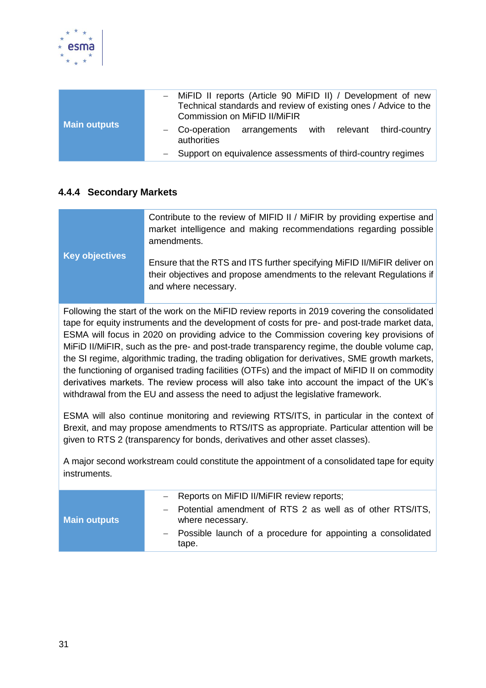

| <b>Main outputs</b> | Commission on MiFID II/MiFIR                                           | - MiFID II reports (Article 90 MiFID II) / Development of new<br>Technical standards and review of existing ones / Advice to the |  |  |  |  |  |  |  |
|---------------------|------------------------------------------------------------------------|----------------------------------------------------------------------------------------------------------------------------------|--|--|--|--|--|--|--|
|                     | - Co-operation arrangements with relevant third-country<br>authorities |                                                                                                                                  |  |  |  |  |  |  |  |
|                     | - Support on equivalence assessments of third-country regimes          |                                                                                                                                  |  |  |  |  |  |  |  |

#### <span id="page-30-0"></span>**4.4.4 Secondary Markets**

|                       | Contribute to the review of MIFID II / MiFIR by providing expertise and<br>market intelligence and making recommendations regarding possible<br>amendments.                |
|-----------------------|----------------------------------------------------------------------------------------------------------------------------------------------------------------------------|
| <b>Key objectives</b> | Ensure that the RTS and ITS further specifying MiFID II/MiFIR deliver on<br>their objectives and propose amendments to the relevant Regulations if<br>and where necessary. |

Following the start of the work on the MiFID review reports in 2019 covering the consolidated tape for equity instruments and the development of costs for pre- and post-trade market data, ESMA will focus in 2020 on providing advice to the Commission covering key provisions of MiFiD II/MiFIR, such as the pre- and post-trade transparency regime, the double volume cap, the SI regime, algorithmic trading, the trading obligation for derivatives, SME growth markets, the functioning of organised trading facilities (OTFs) and the impact of MiFID II on commodity derivatives markets. The review process will also take into account the impact of the UK's withdrawal from the EU and assess the need to adjust the legislative framework.

ESMA will also continue monitoring and reviewing RTS/ITS, in particular in the context of Brexit, and may propose amendments to RTS/ITS as appropriate. Particular attention will be given to RTS 2 (transparency for bonds, derivatives and other asset classes).

A major second workstream could constitute the appointment of a consolidated tape for equity instruments.

| <b>Main outputs</b> | - Reports on MiFID II/MiFIR review reports;                                     |
|---------------------|---------------------------------------------------------------------------------|
|                     | - Potential amendment of RTS 2 as well as of other RTS/ITS,<br>where necessary. |
|                     | - Possible launch of a procedure for appointing a consolidated<br>tape.         |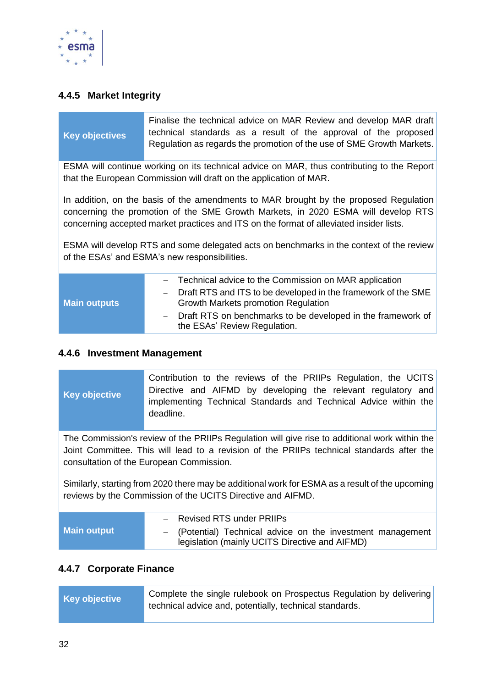

#### <span id="page-31-0"></span>**4.4.5 Market Integrity**

|                       | Finalise the technical advice on MAR Review and develop MAR draft     |  |  |  |  |  |
|-----------------------|-----------------------------------------------------------------------|--|--|--|--|--|
| <b>Key objectives</b> | technical standards as a result of the approval of the proposed       |  |  |  |  |  |
|                       | Regulation as regards the promotion of the use of SME Growth Markets. |  |  |  |  |  |

ESMA will continue working on its technical advice on MAR, thus contributing to the Report that the European Commission will draft on the application of MAR.

In addition, on the basis of the amendments to MAR brought by the proposed Regulation concerning the promotion of the SME Growth Markets, in 2020 ESMA will develop RTS concerning accepted market practices and ITS on the format of alleviated insider lists.

ESMA will develop RTS and some delegated acts on benchmarks in the context of the review of the ESAs' and ESMA's new responsibilities.

|                     | - Technical advice to the Commission on MAR application                                                |
|---------------------|--------------------------------------------------------------------------------------------------------|
| <b>Main outputs</b> | - Draft RTS and ITS to be developed in the framework of the SME<br>Growth Markets promotion Regulation |
|                     | - Draft RTS on benchmarks to be developed in the framework of<br>the ESAs' Review Regulation.          |

#### <span id="page-31-1"></span>**4.4.6 Investment Management**

**Key objective** Contribution to the reviews of the PRIIPs Regulation, the UCITS Directive and AIFMD by developing the relevant regulatory and implementing Technical Standards and Technical Advice within the deadline.

The Commission's review of the PRIIPs Regulation will give rise to additional work within the Joint Committee. This will lead to a revision of the PRIIPs technical standards after the consultation of the European Commission.

Similarly, starting from 2020 there may be additional work for ESMA as a result of the upcoming reviews by the Commission of the UCITS Directive and AIFMD.

|             | - Revised RTS under PRIIPs                                                                                    |
|-------------|---------------------------------------------------------------------------------------------------------------|
| Main output | - (Potential) Technical advice on the investment management<br>legislation (mainly UCITS Directive and AIFMD) |

#### <span id="page-31-2"></span>**4.4.7 Corporate Finance**

| <b>Key objective</b> | Complete the single rulebook on Prospectus Regulation by delivering<br>technical advice and, potentially, technical standards. |
|----------------------|--------------------------------------------------------------------------------------------------------------------------------|
|                      |                                                                                                                                |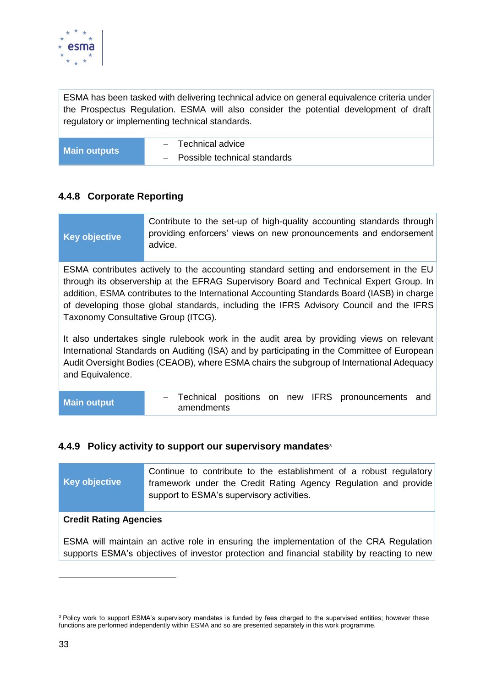

ESMA has been tasked with delivering technical advice on general equivalence criteria under the Prospectus Regulation. ESMA will also consider the potential development of draft regulatory or implementing technical standards.

|                     | Technical advice<br>$\sim$       |
|---------------------|----------------------------------|
| <b>Main outputs</b> | $-$ Possible technical standards |

#### <span id="page-32-0"></span>**4.4.8 Corporate Reporting**

#### **Key objective**

Contribute to the set-up of high-quality accounting standards through providing enforcers' views on new pronouncements and endorsement advice.

ESMA contributes actively to the accounting standard setting and endorsement in the EU through its observership at the EFRAG Supervisory Board and Technical Expert Group. In addition, ESMA contributes to the International Accounting Standards Board (IASB) in charge of developing those global standards, including the IFRS Advisory Council and the IFRS Taxonomy Consultative Group (ITCG).

It also undertakes single rulebook work in the audit area by providing views on relevant International Standards on Auditing (ISA) and by participating in the Committee of European Audit Oversight Bodies (CEAOB), where ESMA chairs the subgroup of International Adequacy and Equivalence.

| <b>Main output</b> |            |  |  | - Technical positions on new IFRS pronouncements and |  |
|--------------------|------------|--|--|------------------------------------------------------|--|
|                    | amendments |  |  |                                                      |  |

#### <span id="page-32-1"></span>**4.4.9 Policy activity to support our supervisory mandates<sup>3</sup>**

| Key objective                                                                                                                                                                          | Continue to contribute to the establishment of a robust regulatory<br>framework under the Credit Rating Agency Regulation and provide<br>support to ESMA's supervisory activities. |  |  |
|----------------------------------------------------------------------------------------------------------------------------------------------------------------------------------------|------------------------------------------------------------------------------------------------------------------------------------------------------------------------------------|--|--|
| <b>Credit Rating Agencies</b>                                                                                                                                                          |                                                                                                                                                                                    |  |  |
| ESMA will maintain an active role in ensuring the implementation of the CRA Regulation<br>supports ESMA's objectives of investor protection and financial stability by reacting to new |                                                                                                                                                                                    |  |  |

-

<sup>&</sup>lt;sup>3</sup> Policy work to support ESMA's supervisory mandates is funded by fees charged to the supervised entities; however these functions are performed independently within ESMA and so are presented separately in this work programme.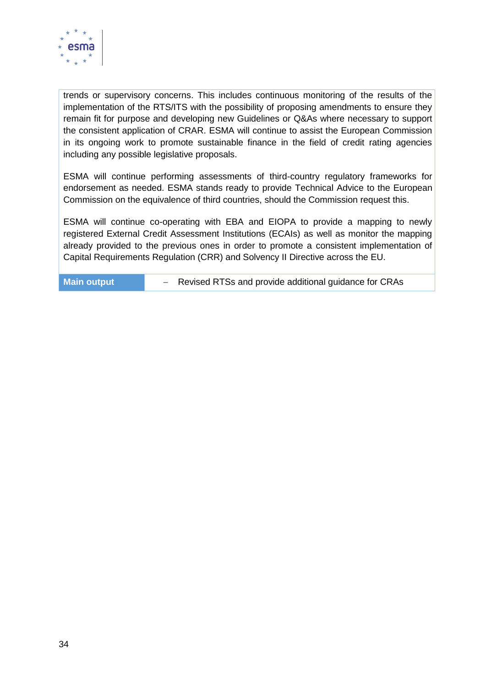

trends or supervisory concerns. This includes continuous monitoring of the results of the implementation of the RTS/ITS with the possibility of proposing amendments to ensure they remain fit for purpose and developing new Guidelines or Q&As where necessary to support the consistent application of CRAR. ESMA will continue to assist the European Commission in its ongoing work to promote sustainable finance in the field of credit rating agencies including any possible legislative proposals.

ESMA will continue performing assessments of third-country regulatory frameworks for endorsement as needed. ESMA stands ready to provide Technical Advice to the European Commission on the equivalence of third countries, should the Commission request this.

ESMA will continue co-operating with EBA and EIOPA to provide a mapping to newly registered External Credit Assessment Institutions (ECAIs) as well as monitor the mapping already provided to the previous ones in order to promote a consistent implementation of Capital Requirements Regulation (CRR) and Solvency II Directive across the EU.

**Main output** − Revised RTSs and provide additional guidance for CRAs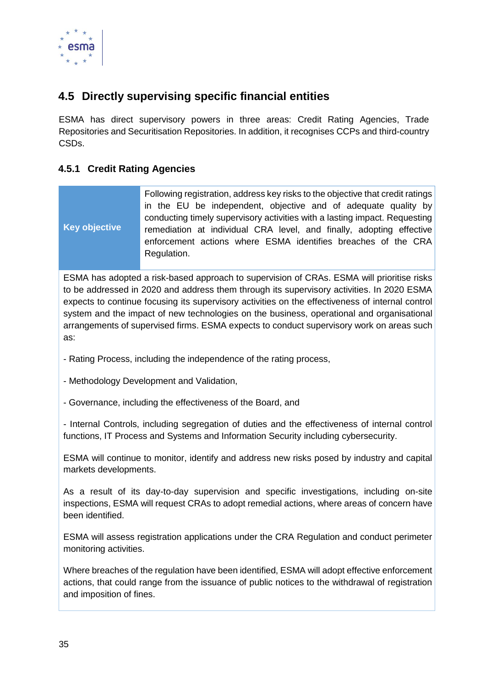

## <span id="page-34-0"></span>**4.5 Directly supervising specific financial entities**

ESMA has direct supervisory powers in three areas: Credit Rating Agencies, Trade Repositories and Securitisation Repositories. In addition, it recognises CCPs and third-country CSDs.

#### <span id="page-34-1"></span>**4.5.1 Credit Rating Agencies**

|               | Following registration, address key risks to the objective that credit ratings<br>in the EU be independent, objective and of adequate quality by<br>conducting timely supervisory activities with a lasting impact. Requesting |
|---------------|--------------------------------------------------------------------------------------------------------------------------------------------------------------------------------------------------------------------------------|
| Key objective | remediation at individual CRA level, and finally, adopting effective<br>enforcement actions where ESMA identifies breaches of the CRA<br>Regulation.                                                                           |

ESMA has adopted a risk-based approach to supervision of CRAs. ESMA will prioritise risks to be addressed in 2020 and address them through its supervisory activities. In 2020 ESMA expects to continue focusing its supervisory activities on the effectiveness of internal control system and the impact of new technologies on the business, operational and organisational arrangements of supervised firms. ESMA expects to conduct supervisory work on areas such as:

- Rating Process, including the independence of the rating process,
- Methodology Development and Validation,
- Governance, including the effectiveness of the Board, and

- Internal Controls, including segregation of duties and the effectiveness of internal control functions, IT Process and Systems and Information Security including cybersecurity.

ESMA will continue to monitor, identify and address new risks posed by industry and capital markets developments.

As a result of its day-to-day supervision and specific investigations, including on-site inspections, ESMA will request CRAs to adopt remedial actions, where areas of concern have been identified.

ESMA will assess registration applications under the CRA Regulation and conduct perimeter monitoring activities.

Where breaches of the regulation have been identified, ESMA will adopt effective enforcement actions, that could range from the issuance of public notices to the withdrawal of registration and imposition of fines.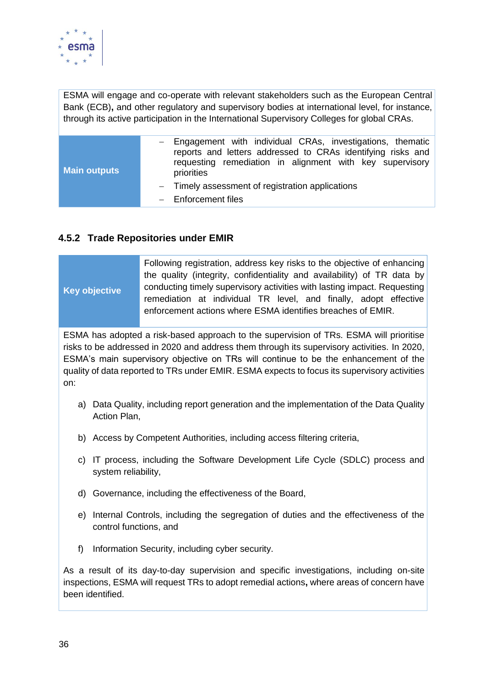

ESMA will engage and co-operate with relevant stakeholders such as the European Central Bank (ECB)**,** and other regulatory and supervisory bodies at international level, for instance, through its active participation in the International Supervisory Colleges for global CRAs.

| <b>Main outputs</b> | - Engagement with individual CRAs, investigations, thematic<br>reports and letters addressed to CRAs identifying risks and<br>requesting remediation in alignment with key supervisory<br>priorities |
|---------------------|------------------------------------------------------------------------------------------------------------------------------------------------------------------------------------------------------|
|                     | - Timely assessment of registration applications<br>$-$ Enforcement files                                                                                                                            |

#### <span id="page-35-0"></span>**4.5.2 Trade Repositories under EMIR**

| <b>Key objective</b>         | Following registration, address key risks to the objective of enhancing<br>the quality (integrity, confidentiality and availability) of TR data by<br>conducting timely supervisory activities with lasting impact. Requesting<br>remediation at individual TR level, and finally, adopt effective<br>enforcement actions where ESMA identifies breaches of EMIR.            |
|------------------------------|------------------------------------------------------------------------------------------------------------------------------------------------------------------------------------------------------------------------------------------------------------------------------------------------------------------------------------------------------------------------------|
| on:                          | ESMA has adopted a risk-based approach to the supervision of TRs. ESMA will prioritise<br>risks to be addressed in 2020 and address them through its supervisory activities. In 2020,<br>ESMA's main supervisory objective on TRs will continue to be the enhancement of the<br>quality of data reported to TRs under EMIR. ESMA expects to focus its supervisory activities |
| Action Plan,                 | a) Data Quality, including report generation and the implementation of the Data Quality                                                                                                                                                                                                                                                                                      |
|                              | b) Access by Competent Authorities, including access filtering criteria,                                                                                                                                                                                                                                                                                                     |
| C)<br>system reliability,    | IT process, including the Software Development Life Cycle (SDLC) process and                                                                                                                                                                                                                                                                                                 |
| d)                           | Governance, including the effectiveness of the Board,                                                                                                                                                                                                                                                                                                                        |
| e)<br>control functions, and | Internal Controls, including the segregation of duties and the effectiveness of the                                                                                                                                                                                                                                                                                          |
| $f$ )                        | Information Security, including cyber security.                                                                                                                                                                                                                                                                                                                              |
| been identified.             | As a result of its day-to-day supervision and specific investigations, including on-site<br>inspections, ESMA will request TRs to adopt remedial actions, where areas of concern have                                                                                                                                                                                        |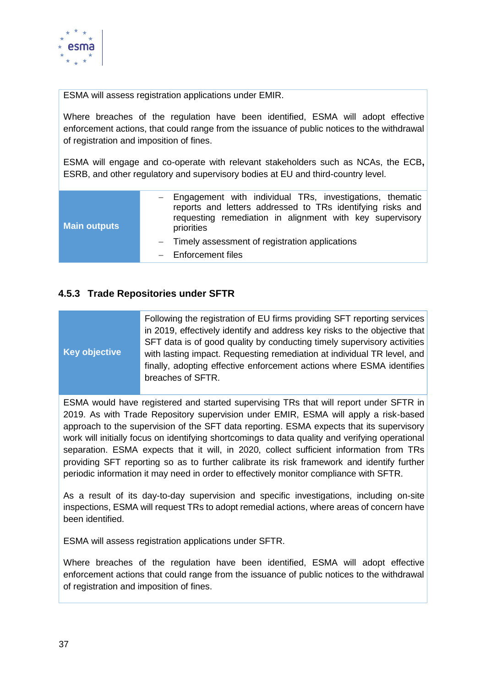

ESMA will assess registration applications under EMIR.

Where breaches of the regulation have been identified, ESMA will adopt effective enforcement actions, that could range from the issuance of public notices to the withdrawal of registration and imposition of fines.

ESMA will engage and co-operate with relevant stakeholders such as NCAs, the ECB**,**  ESRB, and other regulatory and supervisory bodies at EU and third-country level.

| <b>Main outputs</b> | - Engagement with individual TRs, investigations, thematic<br>reports and letters addressed to TRs identifying risks and<br>requesting remediation in alignment with key supervisory |
|---------------------|--------------------------------------------------------------------------------------------------------------------------------------------------------------------------------------|
|                     | priorities<br>- Timely assessment of registration applications<br>$-$ Enforcement files                                                                                              |

#### <span id="page-36-0"></span>**4.5.3 Trade Repositories under SFTR**

#### **Key objective**

Following the registration of EU firms providing SFT reporting services in 2019, effectively identify and address key risks to the objective that SFT data is of good quality by conducting timely supervisory activities with lasting impact. Requesting remediation at individual TR level, and finally, adopting effective enforcement actions where ESMA identifies breaches of SFTR.

ESMA would have registered and started supervising TRs that will report under SFTR in 2019. As with Trade Repository supervision under EMIR, ESMA will apply a risk-based approach to the supervision of the SFT data reporting. ESMA expects that its supervisory work will initially focus on identifying shortcomings to data quality and verifying operational separation. ESMA expects that it will, in 2020, collect sufficient information from TRs providing SFT reporting so as to further calibrate its risk framework and identify further periodic information it may need in order to effectively monitor compliance with SFTR.

As a result of its day-to-day supervision and specific investigations, including on-site inspections, ESMA will request TRs to adopt remedial actions, where areas of concern have been identified.

ESMA will assess registration applications under SFTR.

Where breaches of the regulation have been identified, ESMA will adopt effective enforcement actions that could range from the issuance of public notices to the withdrawal of registration and imposition of fines.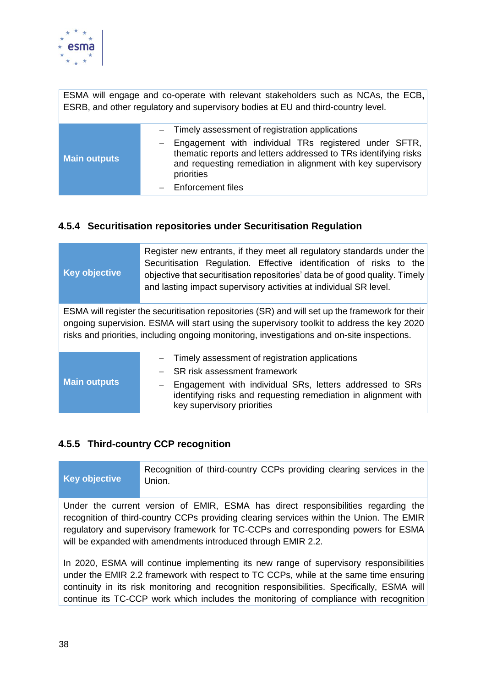

ESMA will engage and co-operate with relevant stakeholders such as NCAs, the ECB**,** ESRB, and other regulatory and supervisory bodies at EU and third-country level.

| <b>Main outputs</b> | - Timely assessment of registration applications<br>- Engagement with individual TRs registered under SFTR,<br>thematic reports and letters addressed to TRs identifying risks |
|---------------------|--------------------------------------------------------------------------------------------------------------------------------------------------------------------------------|
|                     | and requesting remediation in alignment with key supervisory<br>priorities                                                                                                     |
|                     | $-$ Enforcement files                                                                                                                                                          |

#### <span id="page-37-0"></span>**4.5.4 Securitisation repositories under Securitisation Regulation**

| <b>Key objective</b>                                                                            | Register new entrants, if they meet all regulatory standards under the<br>Securitisation Regulation. Effective identification of risks to the<br>objective that securitisation repositories' data be of good quality. Timely<br>and lasting impact supervisory activities at individual SR level. |  |
|-------------------------------------------------------------------------------------------------|---------------------------------------------------------------------------------------------------------------------------------------------------------------------------------------------------------------------------------------------------------------------------------------------------|--|
| ESMA will register the securitisation repositories (SR) and will set up the framework for their |                                                                                                                                                                                                                                                                                                   |  |
|                                                                                                 | ongoing supervision. ESMA will start using the supervisory toolkit to address the key 2020<br>risks and priorities, including ongoing monitoring, investigations and on-site inspections.                                                                                                         |  |
|                                                                                                 |                                                                                                                                                                                                                                                                                                   |  |
| <b>Main outputs</b>                                                                             | Timely assessment of registration applications                                                                                                                                                                                                                                                    |  |
|                                                                                                 | SR risk assessment framework                                                                                                                                                                                                                                                                      |  |
|                                                                                                 | Engagement with individual SRs, letters addressed to SRs<br>identifying risks and requesting remediation in alignment with<br>key supervisory priorities                                                                                                                                          |  |

#### <span id="page-37-1"></span>**4.5.5 Third-country CCP recognition**

| Key objective | Recognition of third-country CCPs providing clearing services in the<br>Union.           |
|---------------|------------------------------------------------------------------------------------------|
|               | Under the current version of EMIR, ESMA has direct responsibilities regarding the        |
|               | recognition of third-country CCPs providing clearing services within the Union. The EMIR |
|               | regulatory and supervisory framework for TC-CCPs and corresponding powers for ESMA       |

will be expanded with amendments introduced through EMIR 2.2.

In 2020, ESMA will continue implementing its new range of supervisory responsibilities under the EMIR 2.2 framework with respect to TC CCPs, while at the same time ensuring continuity in its risk monitoring and recognition responsibilities. Specifically, ESMA will continue its TC-CCP work which includes the monitoring of compliance with recognition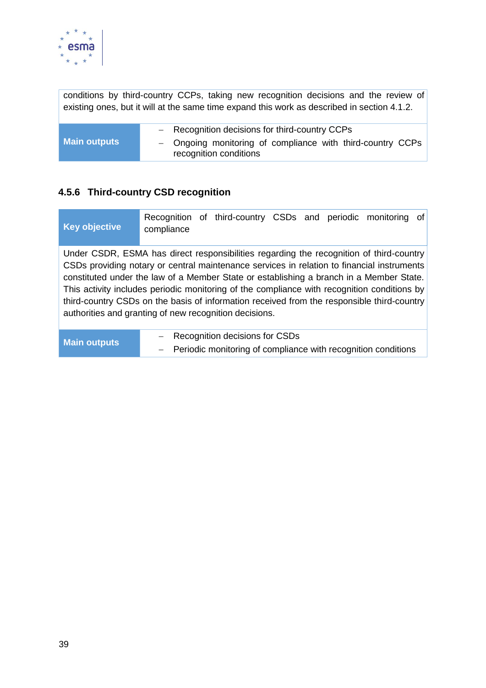

conditions by third-country CCPs, taking new recognition decisions and the review of existing ones, but it will at the same time expand this work as described in section 4.1.2.

|                     | - Recognition decisions for third-country CCPs                                       |
|---------------------|--------------------------------------------------------------------------------------|
| <b>Main outputs</b> | - Ongoing monitoring of compliance with third-country CCPs<br>recognition conditions |

#### <span id="page-38-0"></span>**4.5.6 Third-country CSD recognition**

| Key objective | Recognition of third-country CSDs and periodic monitoring of<br>compliance                                                                                                                                                                                                                                                                                                                                                                                                                                                              |
|---------------|-----------------------------------------------------------------------------------------------------------------------------------------------------------------------------------------------------------------------------------------------------------------------------------------------------------------------------------------------------------------------------------------------------------------------------------------------------------------------------------------------------------------------------------------|
|               | Under CSDR, ESMA has direct responsibilities regarding the recognition of third-country<br>CSDs providing notary or central maintenance services in relation to financial instruments<br>constituted under the law of a Member State or establishing a branch in a Member State.<br>This activity includes periodic monitoring of the compliance with recognition conditions by<br>third-country CSDs on the basis of information received from the responsible third-country<br>authorities and granting of new recognition decisions. |
|               | $\overline{\phantom{a}}$ Recognition decisions for CSDs.                                                                                                                                                                                                                                                                                                                                                                                                                                                                                |

| <b>Main outputs</b> | - Recognition decisions for CSDs                                |
|---------------------|-----------------------------------------------------------------|
|                     | - Periodic monitoring of compliance with recognition conditions |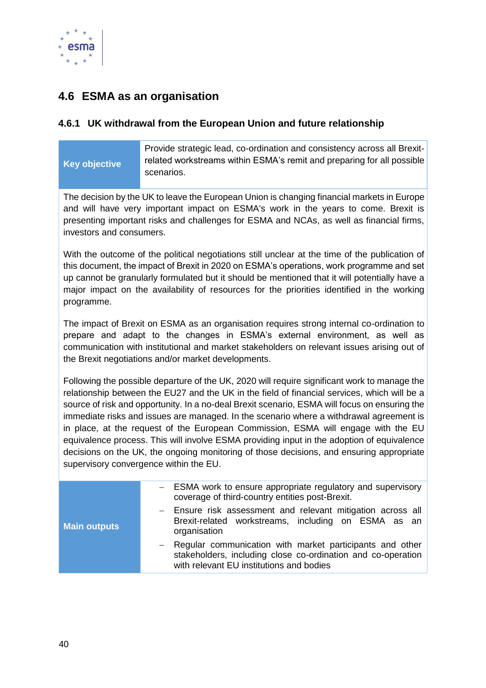

## <span id="page-39-0"></span>**4.6 ESMA as an organisation**

#### <span id="page-39-1"></span>**4.6.1 UK withdrawal from the European Union and future relationship**

#### **Key objective**

Provide strategic lead, co-ordination and consistency across all Brexitrelated workstreams within ESMA's remit and preparing for all possible scenarios.

The decision by the UK to leave the European Union is changing financial markets in Europe and will have very important impact on ESMA's work in the years to come. Brexit is presenting important risks and challenges for ESMA and NCAs, as well as financial firms, investors and consumers.

With the outcome of the political negotiations still unclear at the time of the publication of this document, the impact of Brexit in 2020 on ESMA's operations, work programme and set up cannot be granularly formulated but it should be mentioned that it will potentially have a major impact on the availability of resources for the priorities identified in the working programme.

The impact of Brexit on ESMA as an organisation requires strong internal co-ordination to prepare and adapt to the changes in ESMA's external environment, as well as communication with institutional and market stakeholders on relevant issues arising out of the Brexit negotiations and/or market developments.

Following the possible departure of the UK, 2020 will require significant work to manage the relationship between the EU27 and the UK in the field of financial services, which will be a source of risk and opportunity. In a no-deal Brexit scenario, ESMA will focus on ensuring the immediate risks and issues are managed. In the scenario where a withdrawal agreement is in place, at the request of the European Commission, ESMA will engage with the EU equivalence process. This will involve ESMA providing input in the adoption of equivalence decisions on the UK, the ongoing monitoring of those decisions, and ensuring appropriate supervisory convergence within the EU.

| <b>Main outputs</b> | - ESMA work to ensure appropriate regulatory and supervisory<br>coverage of third-country entities post-Brexit.                                                        |
|---------------------|------------------------------------------------------------------------------------------------------------------------------------------------------------------------|
|                     | - Ensure risk assessment and relevant mitigation across all<br>Brexit-related workstreams, including on ESMA as an<br>organisation                                     |
|                     | - Regular communication with market participants and other<br>stakeholders, including close co-ordination and co-operation<br>with relevant EU institutions and bodies |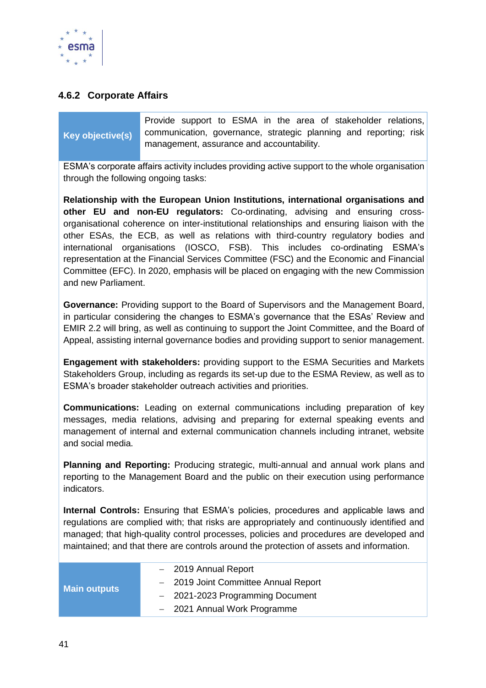

#### <span id="page-40-0"></span>**4.6.2 Corporate Affairs**

### **Key objective(s)**

Provide support to ESMA in the area of stakeholder relations, communication, governance, strategic planning and reporting; risk management, assurance and accountability.

ESMA's corporate affairs activity includes providing active support to the whole organisation through the following ongoing tasks:

**Relationship with the European Union Institutions, international organisations and other EU and non-EU regulators:** Co-ordinating, advising and ensuring crossorganisational coherence on inter-institutional relationships and ensuring liaison with the other ESAs, the ECB, as well as relations with third-country regulatory bodies and international organisations (IOSCO, FSB). This includes co-ordinating ESMA's representation at the Financial Services Committee (FSC) and the Economic and Financial Committee (EFC). In 2020, emphasis will be placed on engaging with the new Commission and new Parliament.

**Governance:** Providing support to the Board of Supervisors and the Management Board, in particular considering the changes to ESMA's governance that the ESAs' Review and EMIR 2.2 will bring, as well as continuing to support the Joint Committee, and the Board of Appeal, assisting internal governance bodies and providing support to senior management.

**Engagement with stakeholders:** providing support to the ESMA Securities and Markets Stakeholders Group, including as regards its set-up due to the ESMA Review, as well as to ESMA's broader stakeholder outreach activities and priorities.

**Communications:** Leading on external communications including preparation of key messages, media relations, advising and preparing for external speaking events and management of internal and external communication channels including intranet, website and social media.

**Planning and Reporting:** Producing strategic, multi-annual and annual work plans and reporting to the Management Board and the public on their execution using performance indicators.

**Internal Controls:** Ensuring that ESMA's policies, procedures and applicable laws and regulations are complied with; that risks are appropriately and continuously identified and managed; that high-quality control processes, policies and procedures are developed and maintained; and that there are controls around the protection of assets and information.

| <b>Main outputs</b> | - 2019 Annual Report                 |
|---------------------|--------------------------------------|
|                     | - 2019 Joint Committee Annual Report |
|                     | - 2021-2023 Programming Document     |
|                     | - 2021 Annual Work Programme         |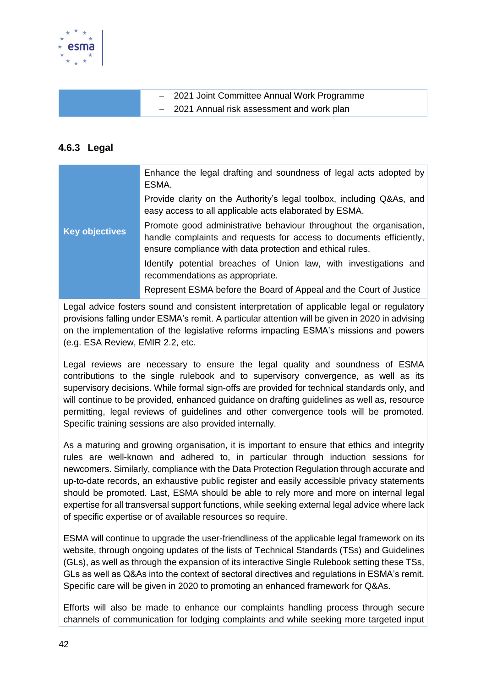

| - 2021 Joint Committee Annual Work Programme |
|----------------------------------------------|
| - 2021 Annual risk assessment and work plan  |

#### <span id="page-41-0"></span>**4.6.3 Legal**

| <b>Key objectives</b> | Enhance the legal drafting and soundness of legal acts adopted by<br>ESMA.                                                                                                                             |
|-----------------------|--------------------------------------------------------------------------------------------------------------------------------------------------------------------------------------------------------|
|                       | Provide clarity on the Authority's legal toolbox, including Q&As, and<br>easy access to all applicable acts elaborated by ESMA.                                                                        |
|                       | Promote good administrative behaviour throughout the organisation,<br>handle complaints and requests for access to documents efficiently,<br>ensure compliance with data protection and ethical rules. |
|                       | Identify potential breaches of Union law, with investigations and<br>recommendations as appropriate.                                                                                                   |
|                       | Represent ESMA before the Board of Appeal and the Court of Justice                                                                                                                                     |

Legal advice fosters sound and consistent interpretation of applicable legal or regulatory provisions falling under ESMA's remit. A particular attention will be given in 2020 in advising on the implementation of the legislative reforms impacting ESMA's missions and powers (e.g. ESA Review, EMIR 2.2, etc.

Legal reviews are necessary to ensure the legal quality and soundness of ESMA contributions to the single rulebook and to supervisory convergence, as well as its supervisory decisions. While formal sign-offs are provided for technical standards only, and will continue to be provided, enhanced guidance on drafting guidelines as well as, resource permitting, legal reviews of guidelines and other convergence tools will be promoted. Specific training sessions are also provided internally.

As a maturing and growing organisation, it is important to ensure that ethics and integrity rules are well-known and adhered to, in particular through induction sessions for newcomers. Similarly, compliance with the Data Protection Regulation through accurate and up-to-date records, an exhaustive public register and easily accessible privacy statements should be promoted. Last, ESMA should be able to rely more and more on internal legal expertise for all transversal support functions, while seeking external legal advice where lack of specific expertise or of available resources so require.

ESMA will continue to upgrade the user-friendliness of the applicable legal framework on its website, through ongoing updates of the lists of Technical Standards (TSs) and Guidelines (GLs), as well as through the expansion of its interactive Single Rulebook setting these TSs, GLs as well as Q&As into the context of sectoral directives and regulations in ESMA's remit. Specific care will be given in 2020 to promoting an enhanced framework for Q&As.

Efforts will also be made to enhance our complaints handling process through secure channels of communication for lodging complaints and while seeking more targeted input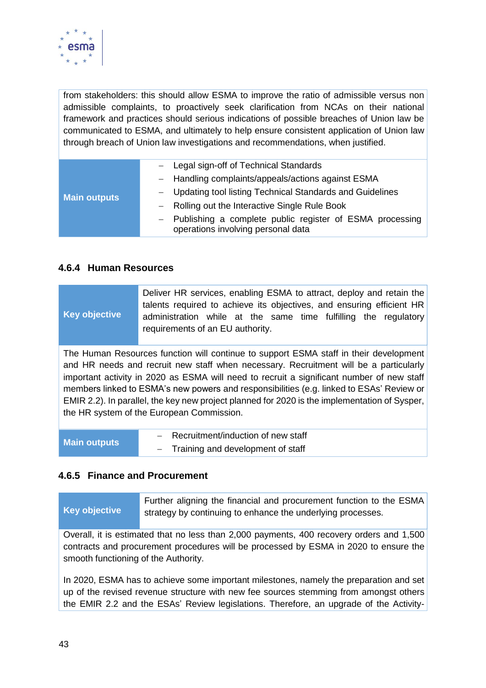

from stakeholders: this should allow ESMA to improve the ratio of admissible versus non admissible complaints, to proactively seek clarification from NCAs on their national framework and practices should serious indications of possible breaches of Union law be communicated to ESMA, and ultimately to help ensure consistent application of Union law through breach of Union law investigations and recommendations, when justified.

| <b>Main outputs</b> | - Legal sign-off of Technical Standards                                                          |
|---------------------|--------------------------------------------------------------------------------------------------|
|                     | - Handling complaints/appeals/actions against ESMA                                               |
|                     | - Updating tool listing Technical Standards and Guidelines                                       |
|                     | - Rolling out the Interactive Single Rule Book                                                   |
|                     | - Publishing a complete public register of ESMA processing<br>operations involving personal data |

#### <span id="page-42-0"></span>**4.6.4 Human Resources**

| <b>Key objective</b>                                                                                                                                                                                                                                                                                                                                                                                                                                                                                                  | Deliver HR services, enabling ESMA to attract, deploy and retain the<br>talents required to achieve its objectives, and ensuring efficient HR<br>administration while at the same time fulfilling the regulatory<br>requirements of an EU authority. |
|-----------------------------------------------------------------------------------------------------------------------------------------------------------------------------------------------------------------------------------------------------------------------------------------------------------------------------------------------------------------------------------------------------------------------------------------------------------------------------------------------------------------------|------------------------------------------------------------------------------------------------------------------------------------------------------------------------------------------------------------------------------------------------------|
| The Human Resources function will continue to support ESMA staff in their development<br>and HR needs and recruit new staff when necessary. Recruitment will be a particularly<br>important activity in 2020 as ESMA will need to recruit a significant number of new staff<br>members linked to ESMA's new powers and responsibilities (e.g. linked to ESAs' Review or<br>EMIR 2.2). In parallel, the key new project planned for 2020 is the implementation of Sysper,<br>the HR system of the European Commission. |                                                                                                                                                                                                                                                      |
| <b>Main outputs</b>                                                                                                                                                                                                                                                                                                                                                                                                                                                                                                   | - Recruitment/induction of new staff<br>- Training and development of staff                                                                                                                                                                          |

#### <span id="page-42-1"></span>**4.6.5 Finance and Procurement**

**Key objective** Further aligning the financial and procurement function to the ESMA strategy by continuing to enhance the underlying processes.

Overall, it is estimated that no less than 2,000 payments, 400 recovery orders and 1,500 contracts and procurement procedures will be processed by ESMA in 2020 to ensure the smooth functioning of the Authority.

In 2020, ESMA has to achieve some important milestones, namely the preparation and set up of the revised revenue structure with new fee sources stemming from amongst others the EMIR 2.2 and the ESAs' Review legislations. Therefore, an upgrade of the Activity-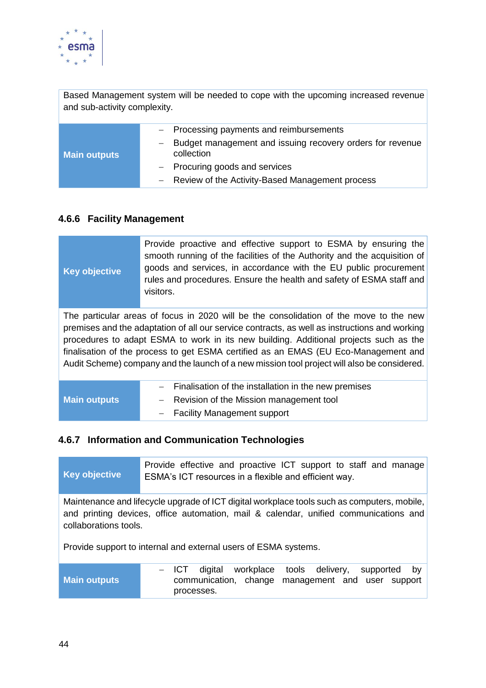

Based Management system will be needed to cope with the upcoming increased revenue and sub-activity complexity.

| <b>Main outputs</b> | - Processing payments and reimbursements                                |
|---------------------|-------------------------------------------------------------------------|
|                     | Budget management and issuing recovery orders for revenue<br>collection |
|                     | $-$ Procuring goods and services                                        |
|                     | - Review of the Activity-Based Management process                       |

#### <span id="page-43-0"></span>**4.6.6 Facility Management**

| <b>Key objective</b> | Provide proactive and effective support to ESMA by ensuring the<br>smooth running of the facilities of the Authority and the acquisition of<br>goods and services, in accordance with the EU public procurement<br>rules and procedures. Ensure the health and safety of ESMA staff and<br>visitors.                                                                                                                                                                   |
|----------------------|------------------------------------------------------------------------------------------------------------------------------------------------------------------------------------------------------------------------------------------------------------------------------------------------------------------------------------------------------------------------------------------------------------------------------------------------------------------------|
|                      | The particular areas of focus in 2020 will be the consolidation of the move to the new<br>premises and the adaptation of all our service contracts, as well as instructions and working<br>procedures to adapt ESMA to work in its new building. Additional projects such as the<br>finalisation of the process to get ESMA certified as an EMAS (EU Eco-Management and<br>Audit Scheme) company and the launch of a new mission tool project will also be considered. |
| <b>Main outputs</b>  | Finalisation of the installation in the new premises<br>Revision of the Mission management tool<br><b>Facility Management support</b>                                                                                                                                                                                                                                                                                                                                  |

## <span id="page-43-1"></span>**4.6.7 Information and Communication Technologies**

| Key objective                                                                                                                                                                                                | Provide effective and proactive ICT support to staff and manage<br>ESMA's ICT resources in a flexible and efficient way.                 |  |
|--------------------------------------------------------------------------------------------------------------------------------------------------------------------------------------------------------------|------------------------------------------------------------------------------------------------------------------------------------------|--|
| Maintenance and lifecycle upgrade of ICT digital workplace tools such as computers, mobile,<br>and printing devices, office automation, mail & calendar, unified communications and<br>collaborations tools. |                                                                                                                                          |  |
| Provide support to internal and external users of ESMA systems.                                                                                                                                              |                                                                                                                                          |  |
| <b>Main outputs</b>                                                                                                                                                                                          | workplace<br>delivery,<br>digital<br>tools<br>ICT.<br>supported<br>by<br>communication, change management and user support<br>processes. |  |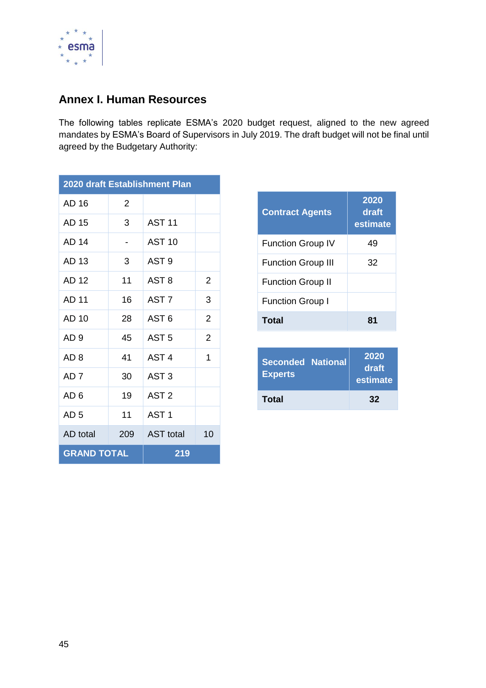

## <span id="page-44-0"></span>**Annex I. Human Resources**

The following tables replicate ESMA's 2020 budget request, aligned to the new agreed mandates by ESMA's Board of Supervisors in July 2019. The draft budget will not be final until agreed by the Budgetary Authority:

| 2020 draft Establishment Plan |               |                  |                |
|-------------------------------|---------------|------------------|----------------|
| AD 16                         | $\mathcal{P}$ |                  |                |
| AD 15                         | 3             | <b>AST 11</b>    |                |
| AD 14                         |               | <b>AST 10</b>    |                |
| AD 13                         | 3             | AST <sub>9</sub> |                |
| AD 12                         | 11            | AST <sub>8</sub> | 2              |
| <b>AD 11</b>                  | 16            | AST <sub>7</sub> | 3              |
| AD 10                         | 28            | AST <sub>6</sub> | 2              |
| AD <sub>9</sub>               | 45            | AST <sub>5</sub> | $\overline{2}$ |
| AD 8                          | 41            | AST <sub>4</sub> | 1              |
| AD 7                          | 30            | AST <sub>3</sub> |                |
| AD 6                          | 19            | AST <sub>2</sub> |                |
| AD <sub>5</sub>               | 11            | AST <sub>1</sub> |                |
| AD total                      | 209           | <b>AST</b> total | 10             |
| <b>GRAND TOTAL</b>            |               | 219              |                |

| <b>Contract Agents</b>    | 2020<br>draft<br>estimate |
|---------------------------|---------------------------|
| <b>Function Group IV</b>  | 49                        |
| <b>Function Group III</b> | 32                        |
| <b>Function Group II</b>  |                           |
| <b>Function Group I</b>   |                           |
| Total                     | 81                        |

| <b>Seconded National</b><br><b>Experts</b> | 2020<br>draft<br>estimate |
|--------------------------------------------|---------------------------|
| Total                                      | 32                        |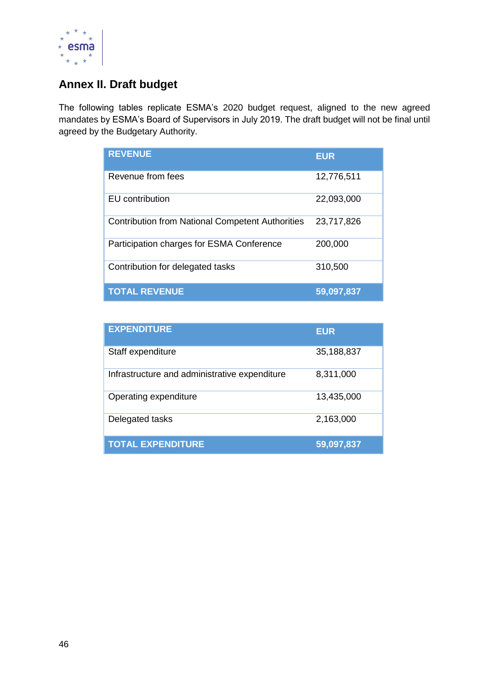

## <span id="page-45-0"></span>**Annex II. Draft budget**

The following tables replicate ESMA's 2020 budget request, aligned to the new agreed mandates by ESMA's Board of Supervisors in July 2019. The draft budget will not be final until agreed by the Budgetary Authority.

| <b>REVENUE</b>                                          | <b>EUR</b> |
|---------------------------------------------------------|------------|
| Revenue from fees                                       | 12,776,511 |
| EU contribution                                         | 22,093,000 |
| <b>Contribution from National Competent Authorities</b> | 23,717,826 |
| Participation charges for ESMA Conference               | 200,000    |
| Contribution for delegated tasks                        | 310,500    |
| <b>TOTAL REVENUE</b>                                    | 59,097,837 |

| <b>EXPENDITURE</b>                            | <b>EUR</b> |
|-----------------------------------------------|------------|
| Staff expenditure                             | 35,188,837 |
| Infrastructure and administrative expenditure | 8,311,000  |
| Operating expenditure                         | 13,435,000 |
| Delegated tasks                               | 2,163,000  |
| <b>TOTAL EXPENDITURE</b>                      | 59,097,837 |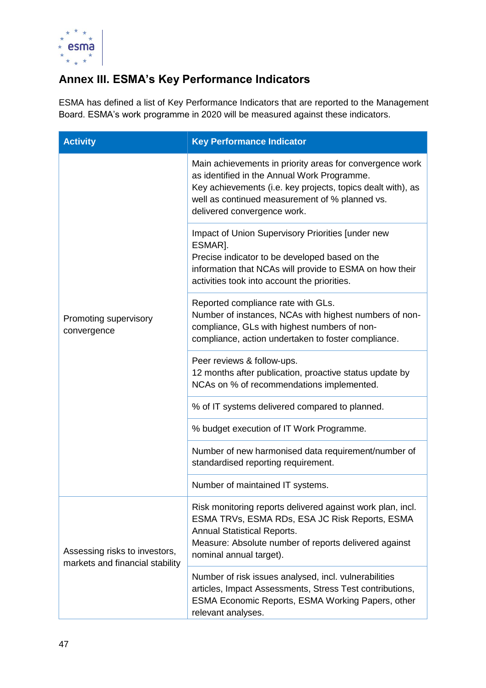

## <span id="page-46-0"></span>**Annex III. ESMA's Key Performance Indicators**

ESMA has defined a list of Key Performance Indicators that are reported to the Management Board. ESMA's work programme in 2020 will be measured against these indicators.

| <b>Activity</b>                                                  | <b>Key Performance Indicator</b>                                                                                                                                                                                                                        |
|------------------------------------------------------------------|---------------------------------------------------------------------------------------------------------------------------------------------------------------------------------------------------------------------------------------------------------|
|                                                                  | Main achievements in priority areas for convergence work<br>as identified in the Annual Work Programme.<br>Key achievements (i.e. key projects, topics dealt with), as<br>well as continued measurement of % planned vs.<br>delivered convergence work. |
| Promoting supervisory<br>convergence                             | Impact of Union Supervisory Priorities [under new<br>ESMAR].<br>Precise indicator to be developed based on the<br>information that NCAs will provide to ESMA on how their<br>activities took into account the priorities.                               |
|                                                                  | Reported compliance rate with GLs.<br>Number of instances, NCAs with highest numbers of non-<br>compliance, GLs with highest numbers of non-<br>compliance, action undertaken to foster compliance.                                                     |
|                                                                  | Peer reviews & follow-ups.<br>12 months after publication, proactive status update by<br>NCAs on % of recommendations implemented.                                                                                                                      |
|                                                                  | % of IT systems delivered compared to planned.                                                                                                                                                                                                          |
|                                                                  | % budget execution of IT Work Programme.                                                                                                                                                                                                                |
|                                                                  | Number of new harmonised data requirement/number of<br>standardised reporting requirement.                                                                                                                                                              |
|                                                                  | Number of maintained IT systems.                                                                                                                                                                                                                        |
| Assessing risks to investors,<br>markets and financial stability | Risk monitoring reports delivered against work plan, incl.<br>ESMA TRVs, ESMA RDs, ESA JC Risk Reports, ESMA<br><b>Annual Statistical Reports.</b><br>Measure: Absolute number of reports delivered against<br>nominal annual target).                  |
|                                                                  | Number of risk issues analysed, incl. vulnerabilities<br>articles, Impact Assessments, Stress Test contributions,<br>ESMA Economic Reports, ESMA Working Papers, other<br>relevant analyses.                                                            |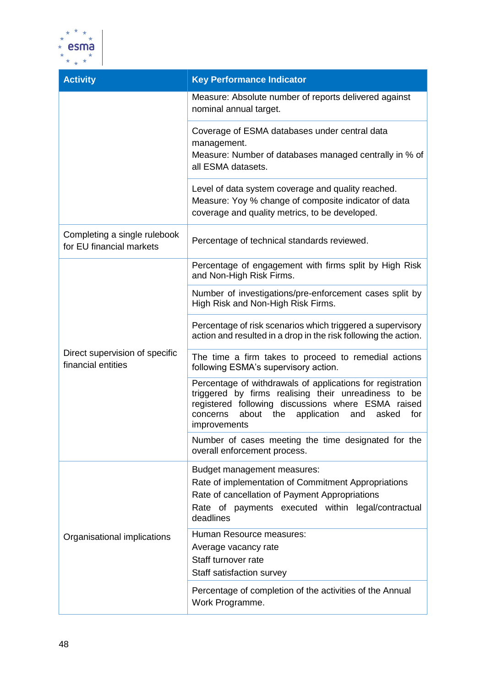

| <b>Activity</b>                                          | <b>Key Performance Indicator</b>                                                                                                                                                                                                                        |
|----------------------------------------------------------|---------------------------------------------------------------------------------------------------------------------------------------------------------------------------------------------------------------------------------------------------------|
|                                                          | Measure: Absolute number of reports delivered against<br>nominal annual target.                                                                                                                                                                         |
|                                                          | Coverage of ESMA databases under central data<br>management.<br>Measure: Number of databases managed centrally in % of                                                                                                                                  |
|                                                          | all ESMA datasets.                                                                                                                                                                                                                                      |
|                                                          | Level of data system coverage and quality reached.<br>Measure: Yoy % change of composite indicator of data<br>coverage and quality metrics, to be developed.                                                                                            |
| Completing a single rulebook<br>for EU financial markets | Percentage of technical standards reviewed.                                                                                                                                                                                                             |
|                                                          | Percentage of engagement with firms split by High Risk<br>and Non-High Risk Firms.                                                                                                                                                                      |
|                                                          | Number of investigations/pre-enforcement cases split by<br>High Risk and Non-High Risk Firms.                                                                                                                                                           |
|                                                          | Percentage of risk scenarios which triggered a supervisory<br>action and resulted in a drop in the risk following the action.                                                                                                                           |
| Direct supervision of specific<br>financial entities     | The time a firm takes to proceed to remedial actions<br>following ESMA's supervisory action.                                                                                                                                                            |
|                                                          | Percentage of withdrawals of applications for registration<br>triggered by firms realising their unreadiness to be<br>registered following discussions where ESMA raised<br>about the<br>application<br>for<br>concerns<br>and<br>asked<br>improvements |
|                                                          | Number of cases meeting the time designated for the<br>overall enforcement process.                                                                                                                                                                     |
|                                                          | Budget management measures:<br>Rate of implementation of Commitment Appropriations                                                                                                                                                                      |
|                                                          | Rate of cancellation of Payment Appropriations<br>Rate of payments executed within legal/contractual<br>deadlines                                                                                                                                       |
| Organisational implications                              | Human Resource measures:                                                                                                                                                                                                                                |
|                                                          | Average vacancy rate                                                                                                                                                                                                                                    |
|                                                          | Staff turnover rate<br>Staff satisfaction survey                                                                                                                                                                                                        |
|                                                          | Percentage of completion of the activities of the Annual<br>Work Programme.                                                                                                                                                                             |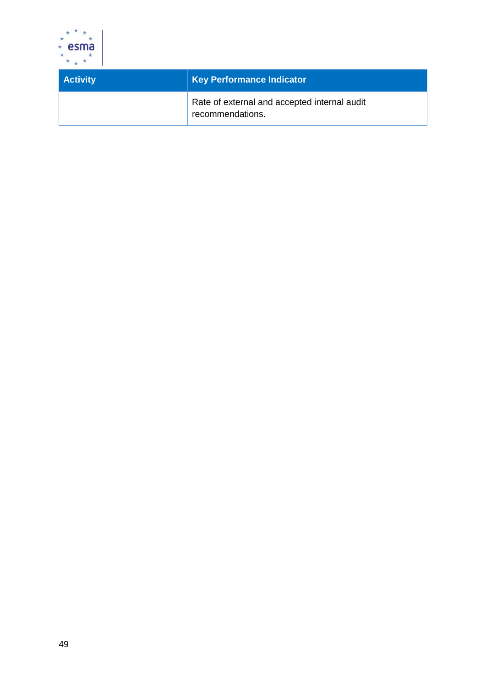

| <b>Activity</b> | <b>Key Performance Indicator</b>                                 |
|-----------------|------------------------------------------------------------------|
|                 | Rate of external and accepted internal audit<br>recommendations. |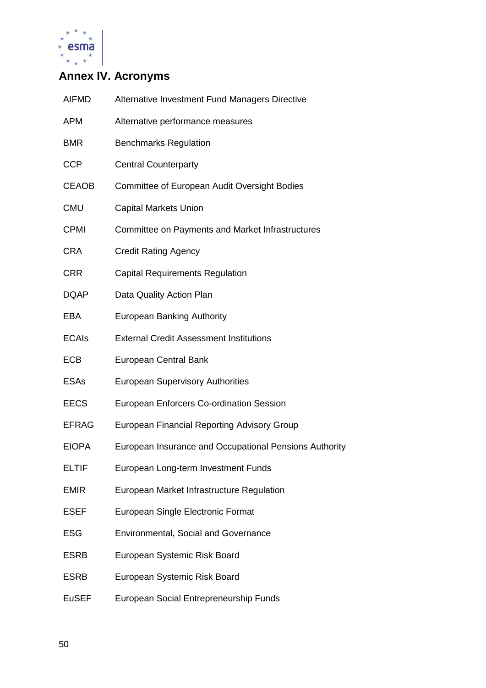

## <span id="page-49-0"></span>**Annex IV. Acronyms**

| <b>AIFMD</b> | Alternative Investment Fund Managers Directive         |
|--------------|--------------------------------------------------------|
| <b>APM</b>   | Alternative performance measures                       |
| <b>BMR</b>   | <b>Benchmarks Regulation</b>                           |
| <b>CCP</b>   | <b>Central Counterparty</b>                            |
| <b>CEAOB</b> | <b>Committee of European Audit Oversight Bodies</b>    |
| <b>CMU</b>   | <b>Capital Markets Union</b>                           |
| <b>CPMI</b>  | Committee on Payments and Market Infrastructures       |
| <b>CRA</b>   | <b>Credit Rating Agency</b>                            |
| <b>CRR</b>   | <b>Capital Requirements Regulation</b>                 |
| <b>DQAP</b>  | Data Quality Action Plan                               |
| <b>EBA</b>   | <b>European Banking Authority</b>                      |
| <b>ECAIs</b> | <b>External Credit Assessment Institutions</b>         |
| <b>ECB</b>   | <b>European Central Bank</b>                           |
| <b>ESAs</b>  | <b>European Supervisory Authorities</b>                |
| <b>EECS</b>  | <b>European Enforcers Co-ordination Session</b>        |
| <b>EFRAG</b> | European Financial Reporting Advisory Group            |
| <b>EIOPA</b> | European Insurance and Occupational Pensions Authority |
| <b>ELTIF</b> | European Long-term Investment Funds                    |
| <b>EMIR</b>  | European Market Infrastructure Regulation              |
| <b>ESEF</b>  | European Single Electronic Format                      |
| <b>ESG</b>   | <b>Environmental, Social and Governance</b>            |
| <b>ESRB</b>  | European Systemic Risk Board                           |
| <b>ESRB</b>  | European Systemic Risk Board                           |
| <b>EuSEF</b> | European Social Entrepreneurship Funds                 |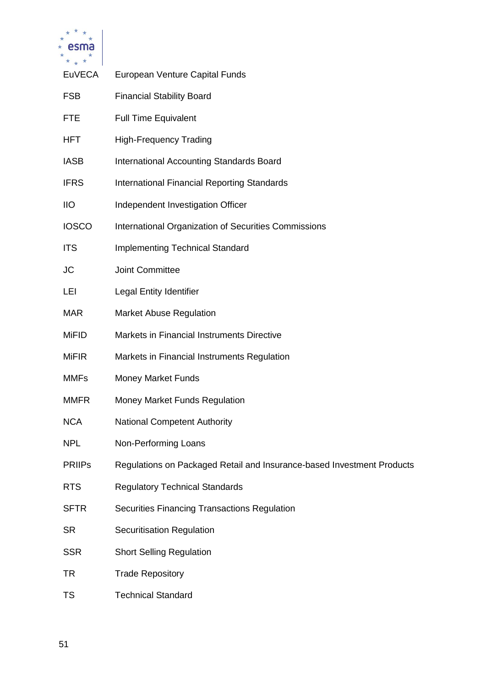

| <b>EuVECA</b> | European Venture Capital Funds                                         |
|---------------|------------------------------------------------------------------------|
| <b>FSB</b>    | <b>Financial Stability Board</b>                                       |
| <b>FTE</b>    | <b>Full Time Equivalent</b>                                            |
| <b>HFT</b>    | <b>High-Frequency Trading</b>                                          |
| <b>IASB</b>   | <b>International Accounting Standards Board</b>                        |
| <b>IFRS</b>   | <b>International Financial Reporting Standards</b>                     |
| <b>IIO</b>    | Independent Investigation Officer                                      |
| <b>IOSCO</b>  | International Organization of Securities Commissions                   |
| <b>ITS</b>    | <b>Implementing Technical Standard</b>                                 |
| <b>JC</b>     | Joint Committee                                                        |
| LEI           | <b>Legal Entity Identifier</b>                                         |
| <b>MAR</b>    | <b>Market Abuse Regulation</b>                                         |
| <b>MiFID</b>  | Markets in Financial Instruments Directive                             |
| <b>MiFIR</b>  | Markets in Financial Instruments Regulation                            |
| <b>MMFs</b>   | <b>Money Market Funds</b>                                              |
| <b>MMFR</b>   | Money Market Funds Regulation                                          |
| <b>NCA</b>    | <b>National Competent Authority</b>                                    |
| <b>NPL</b>    | Non-Performing Loans                                                   |
| <b>PRIIPS</b> | Regulations on Packaged Retail and Insurance-based Investment Products |
| <b>RTS</b>    | <b>Regulatory Technical Standards</b>                                  |
| <b>SFTR</b>   | <b>Securities Financing Transactions Regulation</b>                    |
| <b>SR</b>     | Securitisation Regulation                                              |
| <b>SSR</b>    | <b>Short Selling Regulation</b>                                        |
| <b>TR</b>     | <b>Trade Repository</b>                                                |
| <b>TS</b>     | <b>Technical Standard</b>                                              |